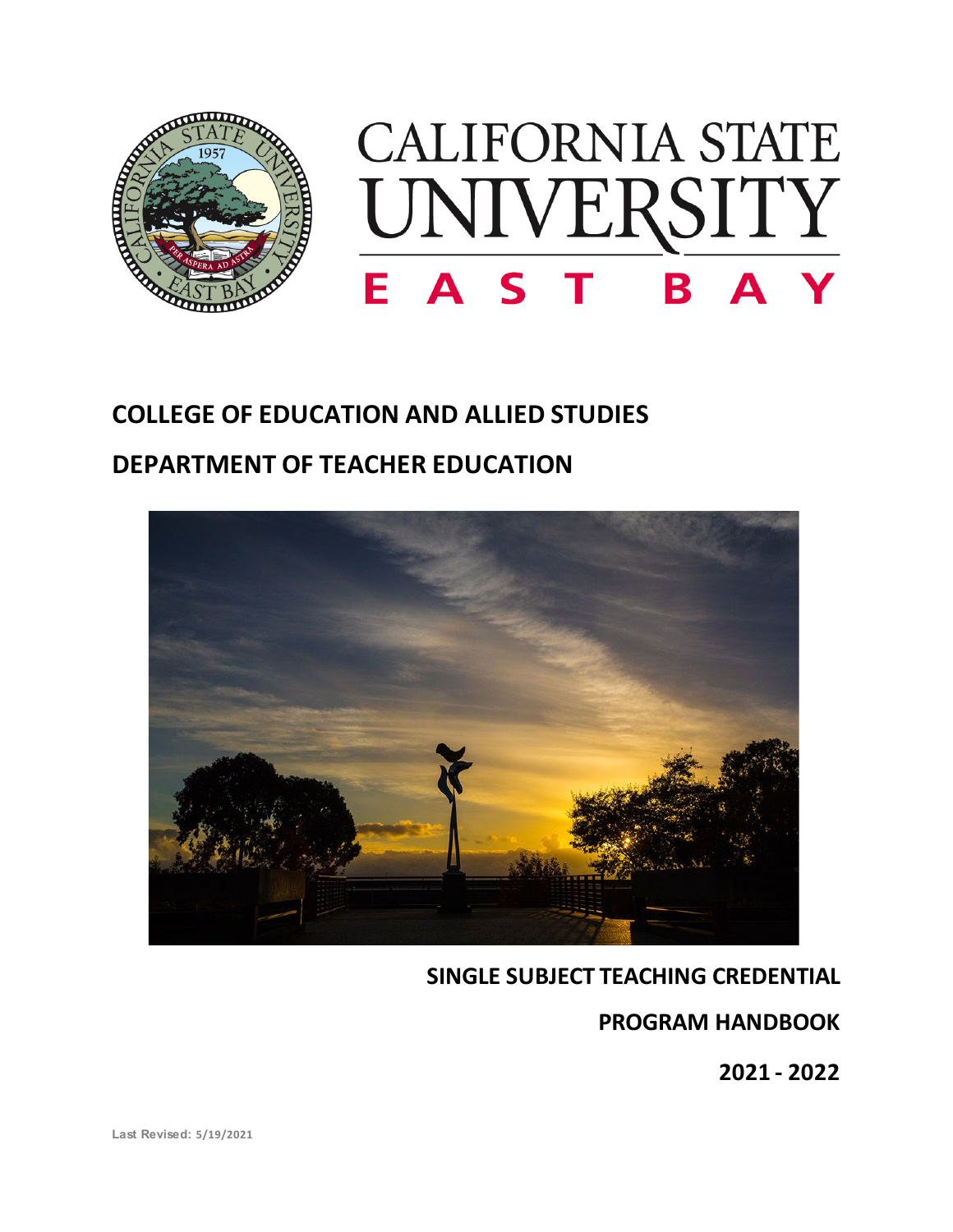



# **COLLEGE OF EDUCATION AND ALLIED STUDIES**

# **DEPARTMENT OF TEACHER EDUCATION**



# **SINGLE SUBJECT TEACHING CREDENTIAL**

**PROGRAM HANDBOOK**

**2021 - 2022**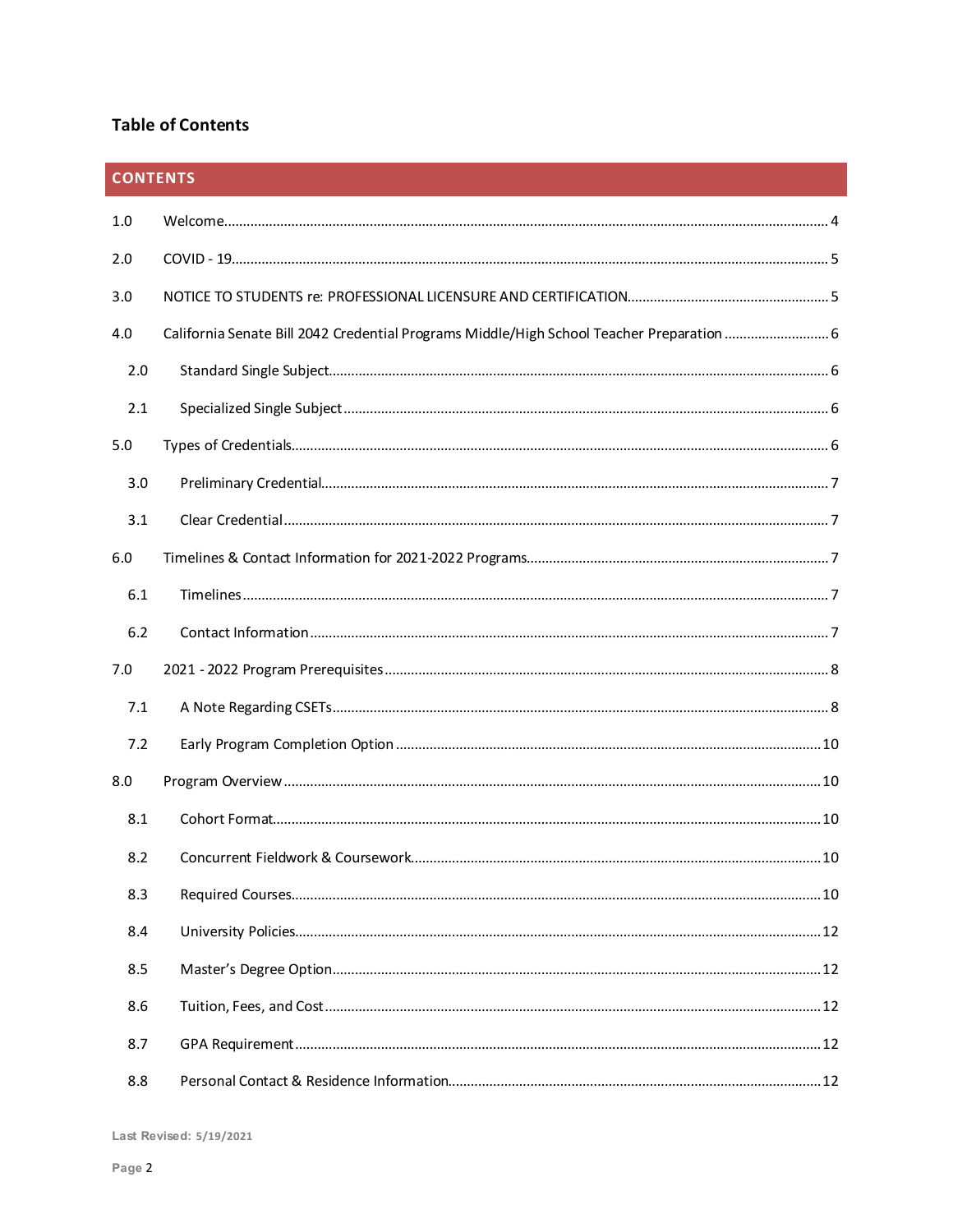# **Table of Contents**

| <b>CONTENTS</b> |                                                                                           |  |  |
|-----------------|-------------------------------------------------------------------------------------------|--|--|
| 1.0             |                                                                                           |  |  |
| 2.0             |                                                                                           |  |  |
| 3.0             |                                                                                           |  |  |
| 4.0             | California Senate Bill 2042 Credential Programs Middle/High School Teacher Preparation  6 |  |  |
| 2.0             |                                                                                           |  |  |
| 2.1             |                                                                                           |  |  |
| 5.0             |                                                                                           |  |  |
| 3.0             |                                                                                           |  |  |
| 3.1             |                                                                                           |  |  |
| 6.0             |                                                                                           |  |  |
| 6.1             |                                                                                           |  |  |
| 6.2             |                                                                                           |  |  |
| 7.0             |                                                                                           |  |  |
| 7.1             |                                                                                           |  |  |
| 7.2             |                                                                                           |  |  |
| 8.0             |                                                                                           |  |  |
| 8.1             |                                                                                           |  |  |
| 8.2             |                                                                                           |  |  |
| 8.3             |                                                                                           |  |  |
| 8.4             |                                                                                           |  |  |
| 8.5             |                                                                                           |  |  |
| 8.6             |                                                                                           |  |  |
| 8.7             |                                                                                           |  |  |
| 8.8             |                                                                                           |  |  |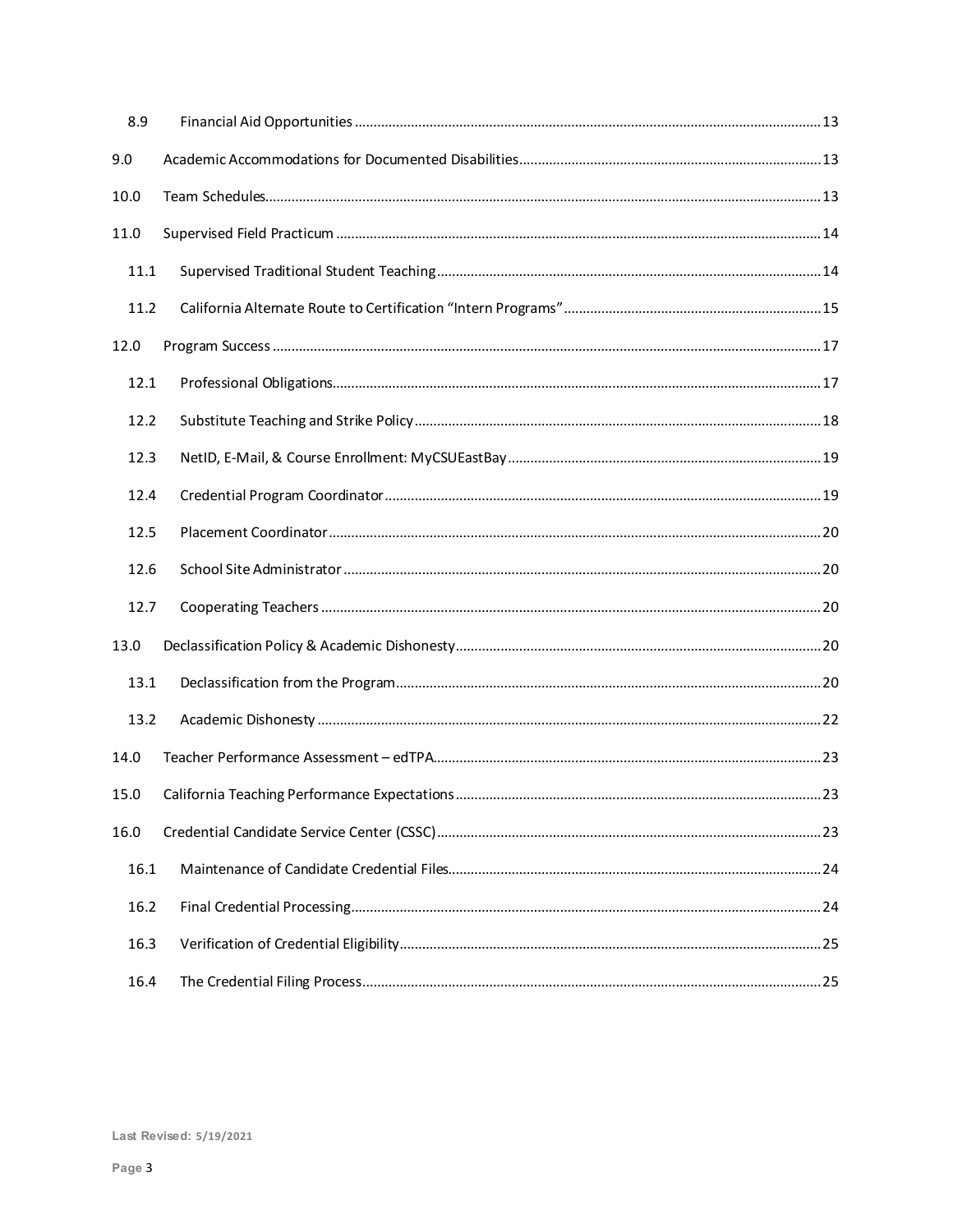| 8.9  |  |
|------|--|
| 9.0  |  |
| 10.0 |  |
| 11.0 |  |
| 11.1 |  |
| 11.2 |  |
| 12.0 |  |
| 12.1 |  |
| 12.2 |  |
| 12.3 |  |
| 12.4 |  |
| 12.5 |  |
| 12.6 |  |
| 12.7 |  |
| 13.0 |  |
| 13.1 |  |
| 13.2 |  |
| 14.0 |  |
| 15.0 |  |
| 16.0 |  |
| 16.1 |  |
| 16.2 |  |
| 16.3 |  |
| 16.4 |  |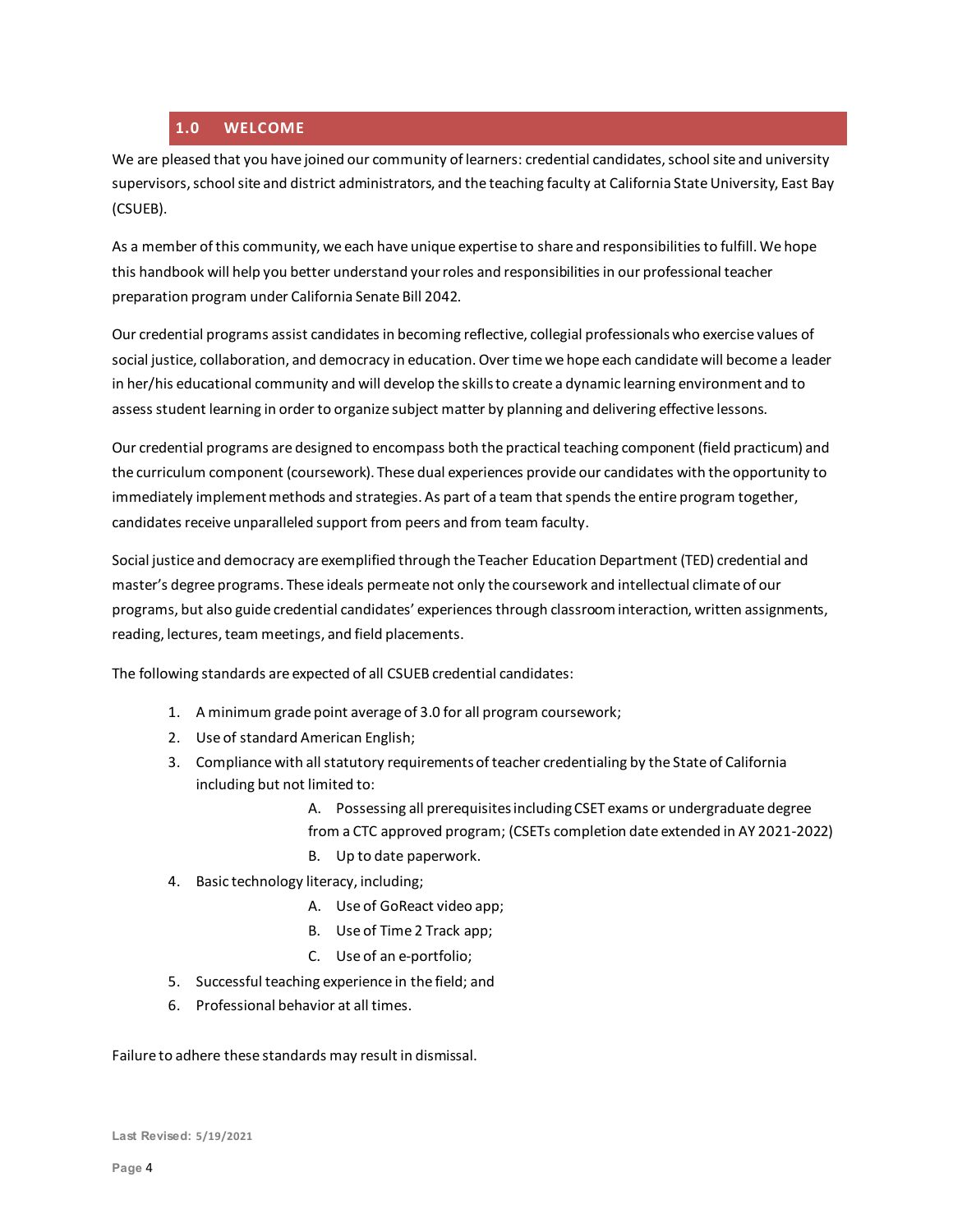# **1.0 WELCOME**

<span id="page-3-0"></span>We are pleased that you have joined our community of learners: credential candidates, school site and university supervisors, school site and district administrators, and the teaching faculty at California State University, East Bay (CSUEB).

As a member of this community, we each have unique expertise to share and responsibilities to fulfill. We hope this handbook will help you better understand your roles and responsibilities in our professional teacher preparation program under California Senate Bill 2042.

Our credential programs assist candidates in becoming reflective, collegial professionals who exercise values of social justice, collaboration, and democracy in education. Over time we hope each candidate will become a leader in her/his educational community and will develop the skills to create a dynamic learning environment and to assess student learning in order to organize subject matter by planning and delivering effective lessons.

Our credential programs are designed to encompass both the practical teaching component (field practicum) and the curriculum component (coursework). These dual experiences provide our candidates with the opportunity to immediately implement methods and strategies. As part of a team that spends the entire program together, candidates receive unparalleled support from peers and from team faculty.

Social justice and democracy are exemplified through the Teacher Education Department (TED) credential and master's degree programs. These ideals permeate not only the coursework and intellectual climate of our programs, but also guide credential candidates' experiences through classroom interaction, written assignments, reading, lectures, team meetings, and field placements.

The following standards are expected of all CSUEB credential candidates:

- 1. A minimum grade point average of 3.0 for all program coursework;
- 2. Use of standard American English;
- 3. Compliance with all statutory requirements of teacher credentialing by the State of California including but not limited to:
	- A. Possessing all prerequisites including CSET exams or undergraduate degree from a CTC approved program; (CSETs completion date extended in AY 2021-2022)
	- B. Up to date paperwork.
- 4. Basic technology literacy, including;
	- A. Use of GoReact video app;
	- B. Use of Time 2 Track app;
	- C. Use of an e-portfolio;
- 5. Successful teaching experience in the field; and
- 6. Professional behavior at all times.

Failure to adhere these standards may result in dismissal.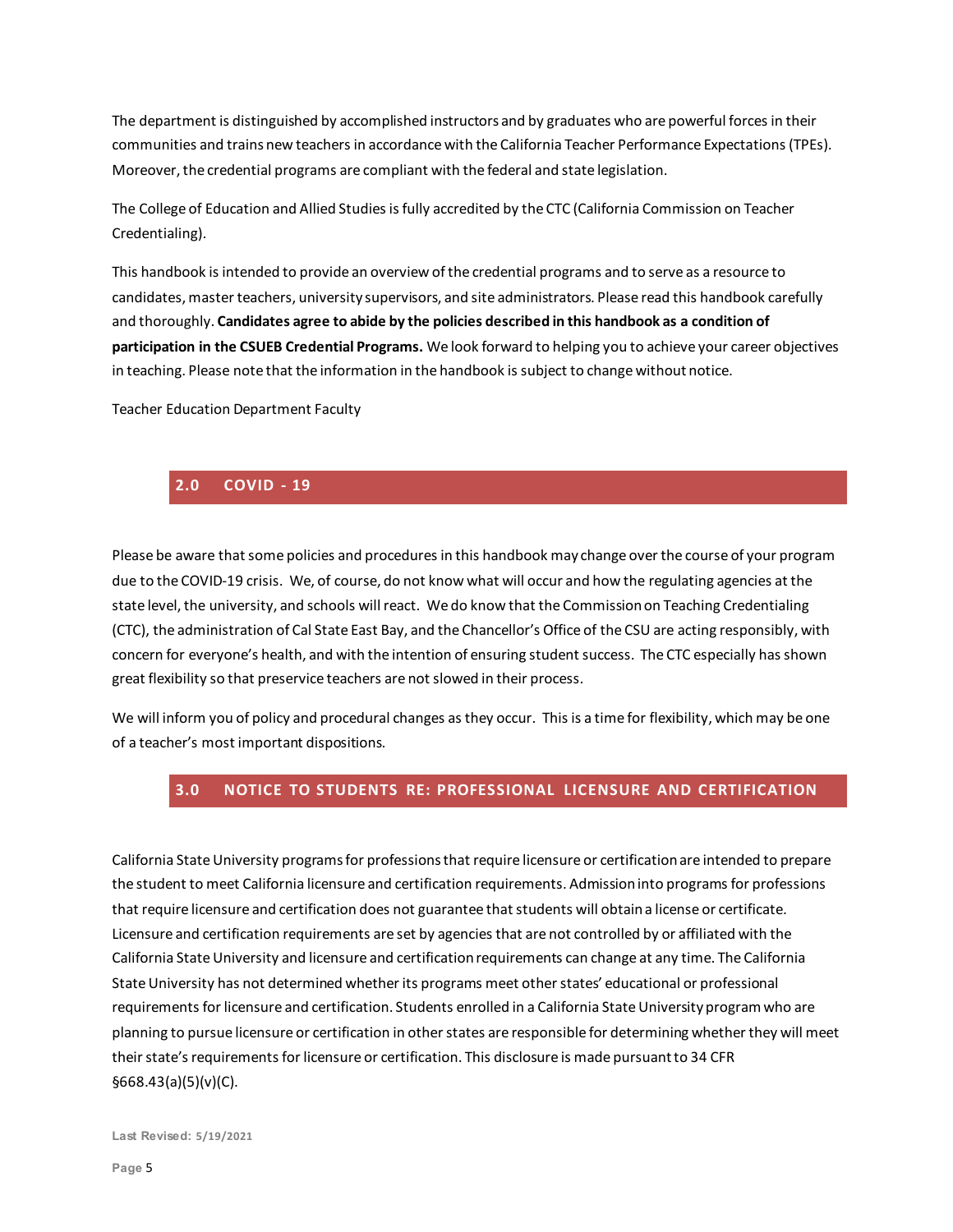The department is distinguished by accomplished instructors and by graduates who are powerful forces in their communities and trains new teachers in accordance with the California Teacher Performance Expectations (TPEs). Moreover, the credential programs are compliant with the federal and state legislation.

The College of Education and Allied Studies is fully accredited by the CTC (California Commission on Teacher Credentialing).

This handbook is intended to provide an overview of the credential programs and to serve as a resource to candidates, master teachers, university supervisors, and site administrators. Please read this handbook carefully and thoroughly. **Candidates agree to abide by the policies described in this handbook as a condition of participation in the CSUEB Credential Programs.** We look forward to helping you to achieve your career objectives in teaching. Please note that the information in the handbook is subject to change without notice.

<span id="page-4-0"></span>Teacher Education Department Faculty

#### **2.0 COVID - 19**

Please be aware that some policies and procedures in this handbook may change over the course of your program due to the COVID-19 crisis. We, of course, do not know what will occur and how the regulating agencies at the state level, the university, and schools will react. We do know that the Commission on Teaching Credentialing (CTC), the administration of Cal State East Bay, and the Chancellor's Office of the CSU are acting responsibly, with concern for everyone's health, and with the intention of ensuring student success. The CTC especially has shown great flexibility so that preservice teachers are not slowed in their process.

<span id="page-4-1"></span>We will inform you of policy and procedural changes as they occur. This is a time for flexibility, which may be one of a teacher's most important dispositions.

# **3.0 NOTICE TO STUDENTS RE: PROFESSIONAL LICENSURE AND CERTIFICATION**

California State University programs for professions that require licensure or certification are intended to prepare the student to meet California licensure and certification requirements. Admission into programs for professions that require licensure and certification does not guarantee that students will obtain a license or certificate. Licensure and certification requirements are set by agencies that are not controlled by or affiliated with the California State University and licensure and certification requirements can change at any time. The California State University has not determined whether its programs meet other states' educational or professional requirements for licensure and certification. Students enrolled in a California State University program who are planning to pursue licensure or certification in other states are responsible for determining whether they will meet their state's requirements for licensure or certification. This disclosure is made pursuant to 34 CFR §668.43(a)(5)(v)(C).

**Last Revised: 5/19/2021**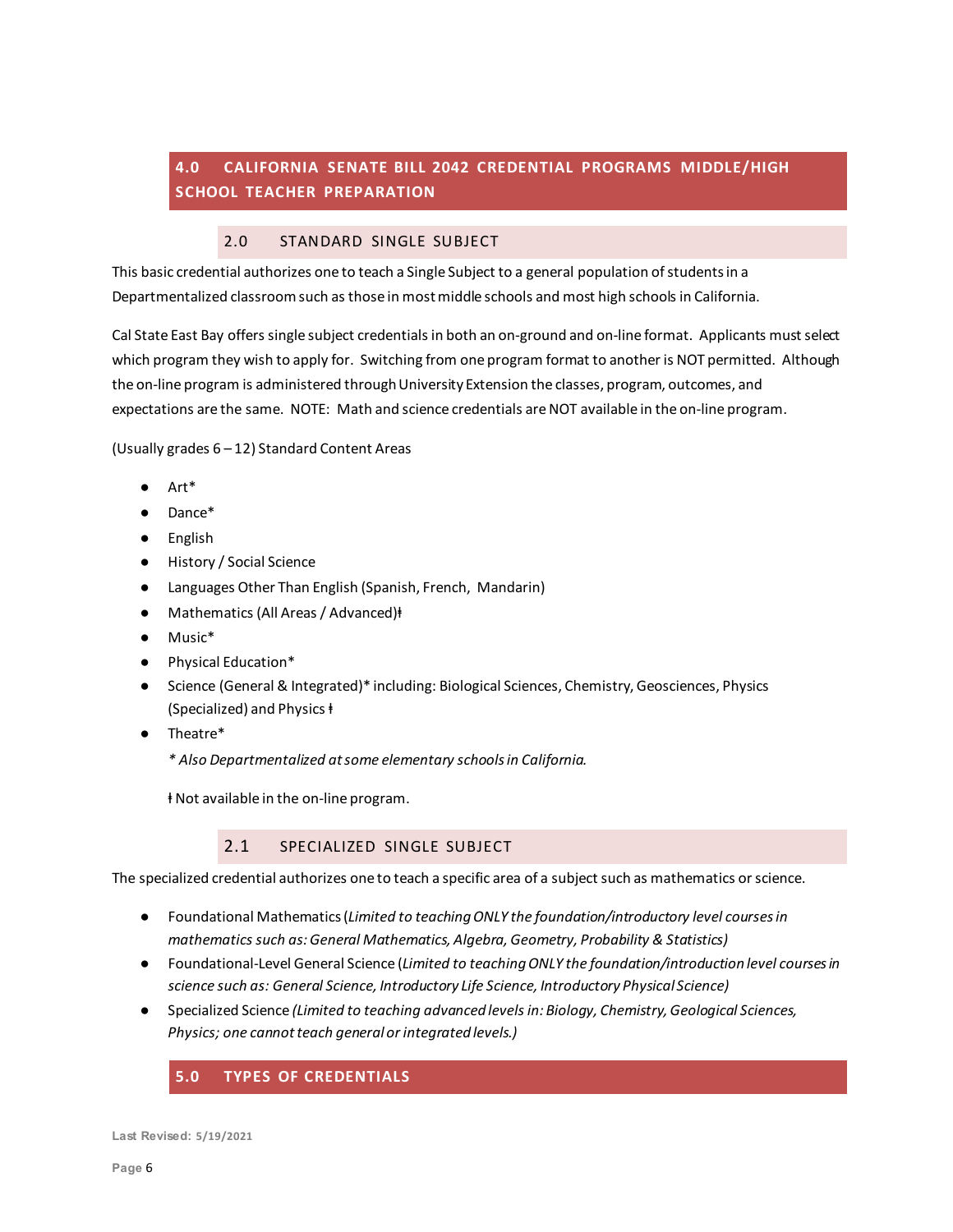# <span id="page-5-0"></span>**4.0 CALIFORNIA SENATE BILL 2042 CREDENTIAL PROGRAMS MIDDLE/HIGH SCHOOL TEACHER PREPARATION**

#### 2.0 STANDARD SINGLE SUBJECT

<span id="page-5-1"></span>This basic credential authorizes one to teach a Single Subject to a general population of students in a Departmentalized classroom such as those in most middle schools and most high schools in California.

Cal State East Bay offers single subject credentials in both an on-ground and on-line format. Applicants must select which program they wish to apply for. Switching from one program format to another is NOT permitted. Although the on-line program is administered through University Extension the classes, program, outcomes, and expectations are the same. NOTE: Math and science credentials are NOT available in the on-line program.

(Usually grades 6 – 12) Standard Content Areas

- Art\*
- Dance\*
- English
- History / Social Science
- Languages Other Than English (Spanish, French, Mandarin)
- Mathematics (All Areas / Advanced)ł
- Music\*
- Physical Education\*
- Science (General & Integrated)\* including: Biological Sciences, Chemistry, Geosciences, Physics (Specialized) and Physics  $\dagger$
- Theatre\*
	- *\* Also Departmentalized at some elementary schools in California.*

ⱡ Not available in the on-line program.

# 2.1 SPECIALIZED SINGLE SUBJECT

<span id="page-5-2"></span>The specialized credential authorizes one to teach a specific area of a subject such as mathematics or science.

- Foundational Mathematics (*Limited to teaching ONLY the foundation/introductory level courses in mathematics such as: General Mathematics, Algebra, Geometry, Probability & Statistics)*
- Foundational-Level General Science (*Limited to teaching ONLY the foundation/introduction level courses in science such as: General Science, Introductory Life Science, Introductory Physical Science)*
- <span id="page-5-3"></span>● Specialized Science *(Limited to teaching advanced levels in: Biology, Chemistry, Geological Sciences, Physics; one cannot teach general or integrated levels.)*

## **5.0 TYPES OF CREDENTIALS**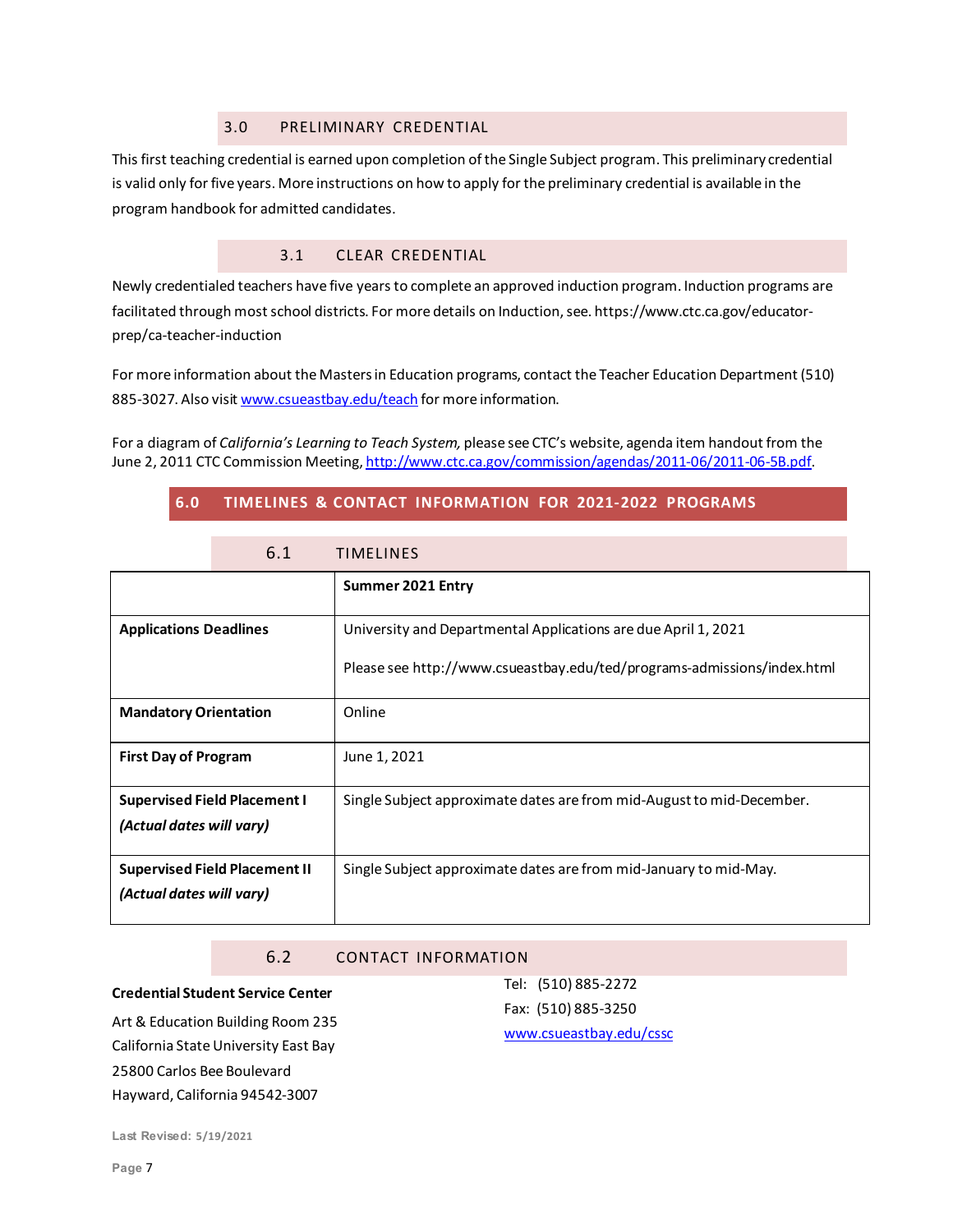#### 3.0 PRELIMINARY CREDENTIAL

<span id="page-6-0"></span>This first teaching credential is earned upon completion of the Single Subject program. This preliminary credential is valid only for five years. More instructions on how to apply for the preliminary credential is available in the program handbook for admitted candidates.

#### 3.1 CLEAR CREDENTIAL

<span id="page-6-1"></span>Newly credentialed teachers have five years to complete an approved induction program. Induction programs are facilitated through most school districts. For more details on Induction, see. https://www.ctc.ca.gov/educatorprep/ca-teacher-induction

For more information about the Masters in Education programs, contact the Teacher Education Department (510) 885-3027. Also visit www.csueastbay.edu/teach for more information.

<span id="page-6-2"></span>For a diagram of *California's Learning to Teach System,* please see CTC's website, agenda item handout from the June 2, 2011 CTC Commission Meeting[, http://www.ctc.ca.gov/commission/agendas/2011-06/2011-06-5B.pdf.](http://www.ctc.ca.gov/commission/agendas/2011-06/2011-06-5B.pdf)

# **6.0 TIMELINES & CONTACT INFORMATION FOR 2021-2022 PROGRAMS**

<span id="page-6-3"></span>

|                                      | Summer 2021 Entry                                                       |
|--------------------------------------|-------------------------------------------------------------------------|
| <b>Applications Deadlines</b>        | University and Departmental Applications are due April 1, 2021          |
|                                      | Please see http://www.csueastbay.edu/ted/programs-admissions/index.html |
| <b>Mandatory Orientation</b>         | Online                                                                  |
| <b>First Day of Program</b>          | June 1, 2021                                                            |
| <b>Supervised Field Placement I</b>  | Single Subject approximate dates are from mid-August to mid-December.   |
| (Actual dates will vary)             |                                                                         |
| <b>Supervised Field Placement II</b> | Single Subject approximate dates are from mid-January to mid-May.       |
| (Actual dates will vary)             |                                                                         |

# 6.1 TIMELINES

## 6.2 CONTACT INFORMATION

#### <span id="page-6-4"></span>**Credential Student Service Center**

Art & Education Building Room 235 California State University East Bay 25800 Carlos Bee Boulevard Hayward, California 94542-3007

Tel: (510) 885-2272 Fax: (510) 885-3250 [www.csueastbay.edu/cssc](http://www.csueastbay.edu/cssc)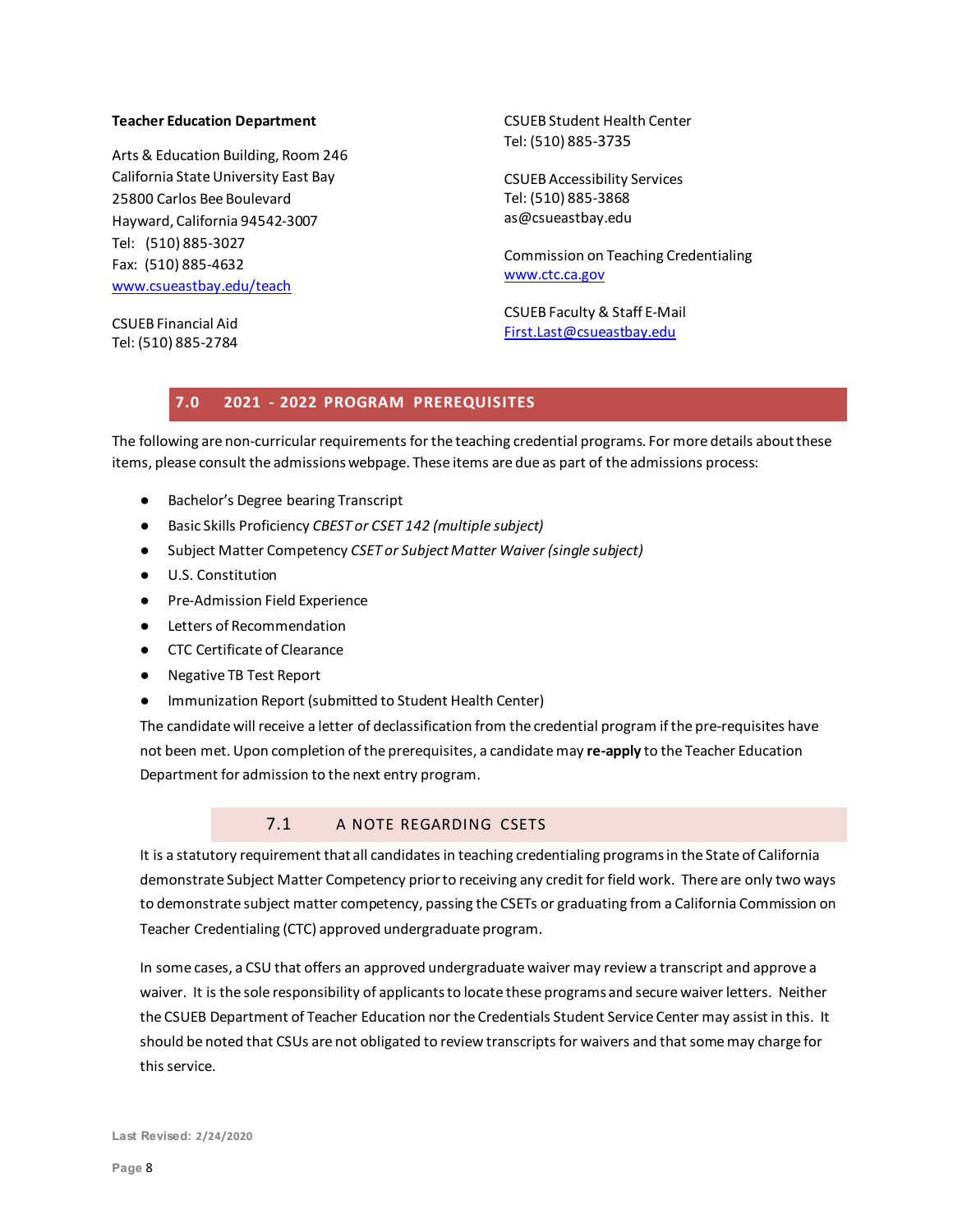#### **Teacher Education Department**

Arts & Education Building, Room 246 California State University East Bay 25800 Carlos Bee Boulevard Hayward, California 94542-3007 Tel: (510) 885-3027 Fax: (510) 885-4632 [www.csueastbay.edu/teach](http://www.csueastbay.edu/teach)

<span id="page-7-0"></span>CSUEB Financial Aid Tel: (510) 885-2784 CSUEB Student Health Center Tel: (510) 885-3735

CSUEB Accessibility Services Tel: (510) 885-3868 as@csueastbay.edu

Commission on Teaching Credentialing [www.ctc.ca.gov](http://www.ctc.ca.gov/)

CSUEB Faculty & Staff E-Mail [First.Last@csueastbay.edu](mailto:First.Last@csueastbay.edu)

# **7.0 2021 - 2022 PROGRAM PREREQUISITES**

The following are non-curricular requirements for the teaching credential programs. For more details about these items, please consult the admissions webpage. These items are due as part of the admissions process:

- Bachelor's Degree bearing Transcript
- Basic Skills Proficiency *CBEST or CSET 142 (multiple subject)*
- Subject Matter Competency *CSET or Subject Matter Waiver (single subject)*
- U.S. Constitution
- Pre-Admission Field Experience
- Letters of Recommendation
- CTC Certificate of Clearance
- Negative TB Test Report
- Immunization Report (submitted to Student Health Center)

The candidate will receive a letter of declassification from the credential program if the pre-requisites have not been met. Upon completion of the prerequisites, a candidate may **re-apply** to the Teacher Education Department for admission to the next entry program.

## 7.1 A NOTE REGARDING CSETS

<span id="page-7-1"></span>It is a statutory requirement that all candidates in teaching credentialing programs in the State of California demonstrate Subject Matter Competency prior to receiving any credit for field work. There are only two ways to demonstrate subject matter competency, passing the CSETs or graduating from a California Commission on Teacher Credentialing (CTC) approved undergraduate program.

In some cases, a CSU that offers an approved undergraduate waiver may review a transcript and approve a waiver. It is the sole responsibility of applicants to locate these programs and secure waiver letters. Neither the CSUEB Department of Teacher Education nor the Credentials Student Service Center may assist in this. It should be noted that CSUs are not obligated to review transcripts for waivers and that some may charge for this service.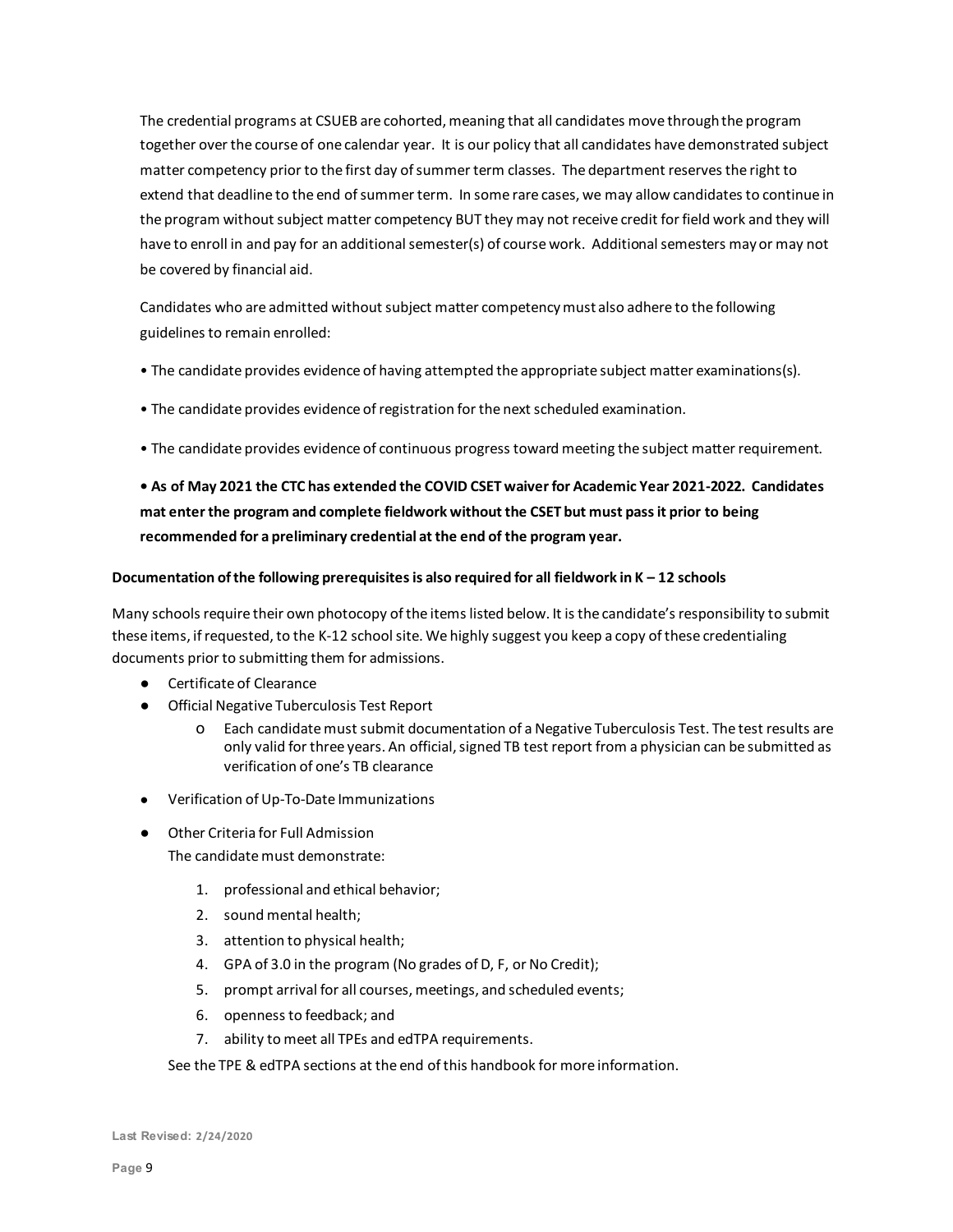The credential programs at CSUEB are cohorted, meaning that all candidates move through the program together over the course of one calendar year. It is our policy that all candidates have demonstrated subject matter competency prior to the first day of summer term classes. The department reserves the right to extend that deadline to the end of summer term. In some rare cases, we may allow candidates to continue in the program without subject matter competency BUT they may not receive credit for field work and they will have to enroll in and pay for an additional semester(s) of course work. Additional semesters may or may not be covered by financial aid.

Candidates who are admitted without subject matter competency must also adhere to the following guidelines to remain enrolled:

- The candidate provides evidence of having attempted the appropriate subject matter examinations(s).
- The candidate provides evidence of registration for the next scheduled examination.
- The candidate provides evidence of continuous progress toward meeting the subject matter requirement.

# **• As of May 2021 the CTC has extended the COVID CSET waiver for Academic Year 2021-2022. Candidates mat enter the program and complete fieldwork without the CSET but must pass it prior to being recommended for a preliminary credential at the end of the program year.**

#### **Documentation of the following prerequisites is also required for all fieldwork in K – 12 schools**

Many schools require their own photocopy of the items listed below. It is the candidate's responsibility to submit these items, if requested, to the K-12 school site. We highly suggest you keep a copy of these credentialing documents prior to submitting them for admissions.

- Certificate of Clearance
- Official Negative Tuberculosis Test Report
	- o Each candidate must submit documentation of a Negative Tuberculosis Test. The test results are only valid for three years. An official, signed TB test report from a physician can be submitted as verification of one's TB clearance
- Verification of Up-To-Date Immunizations
- Other Criteria for Full Admission

The candidate must demonstrate:

- 1. professional and ethical behavior;
- 2. sound mental health;
- 3. attention to physical health;
- 4. GPA of 3.0 in the program (No grades of D, F, or No Credit);
- 5. prompt arrival for all courses, meetings, and scheduled events;
- 6. openness to feedback; and
- 7. ability to meet all TPEs and edTPA requirements.

See the TPE & edTPA sections at the end of this handbook for more information.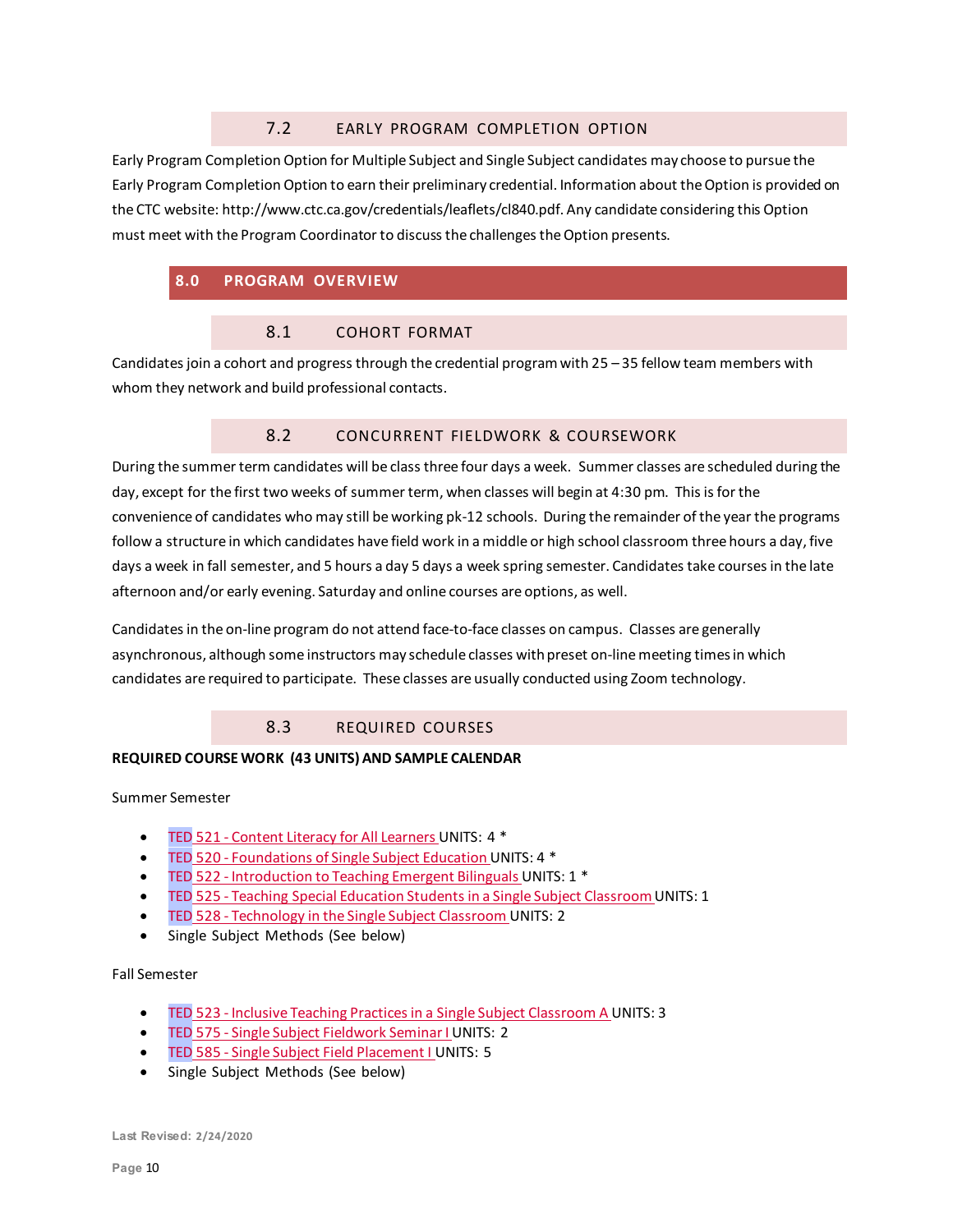## 7.2 EARLY PROGRAM COMPLETION OPTION

<span id="page-9-0"></span>Early Program Completion Option for Multiple Subject and Single Subject candidates may choose to pursue the Early Program Completion Option to earn their preliminary credential. Information about the Option is provided on the CTC website: http://www.ctc.ca.gov/credentials/leaflets/cl840.pdf. Any candidate considering this Option must meet with the Program Coordinator to discuss the challenges the Option presents.

# <span id="page-9-1"></span>**8.0 PROGRAM OVERVIEW**

#### 8.1 COHORT FORMAT

<span id="page-9-2"></span>Candidates join a cohort and progress through the credential program with 25 – 35 fellow team members with whom they network and build professional contacts.

#### 8.2 CONCURRENT FIELDWORK & COURSEWORK

<span id="page-9-3"></span>During the summer term candidates will be class three four days a week. Summer classes are scheduled during the day, except for the first two weeks of summer term, when classes will begin at 4:30 pm. This is for the convenience of candidates who may still be working pk-12 schools. During the remainder of the year the programs follow a structure in which candidates have field work in a middle or high school classroom three hours a day, five days a week in fall semester, and 5 hours a day 5 days a week spring semester. Candidates take courses in the late afternoon and/or early evening. Saturday and online courses are options, as well.

Candidates in the on-line program do not attend face-to-face classes on campus. Classes are generally asynchronous, although some instructors may schedule classes with preset on-line meeting times in which candidates are required to participate. These classes are usually conducted using Zoom technology.

# 8.3 REQUIRED COURSES

## <span id="page-9-4"></span>**REQUIRED COURSE WORK (43 UNITS) AND SAMPLE CALENDAR**

Summer Semester

- TED 521 Content Literacy for All [Learners](http://catalog.csueastbay.edu/preview_program.php?catoid=21&poid=8458&hl=%22ted%22&returnto=search) UNITS: 4 \*
- TED 520 [Foundations](http://catalog.csueastbay.edu/preview_program.php?catoid=21&poid=8458&hl=%22ted%22&returnto=search) of Single Subject Education UNITS: 4 \*
- TED 522 [Introduction](http://catalog.csueastbay.edu/preview_program.php?catoid=21&poid=8458&hl=%22ted%22&returnto=search) to Teaching Emergent Bilinguals UNITS: 1 \*
- TED 525 Teaching Special Education Students in a Single Subject [ClassroomU](http://catalog.csueastbay.edu/preview_program.php?catoid=21&poid=8458&hl=%22ted%22&returnto=search)NITS: 1
- TED 528 [Technology](http://catalog.csueastbay.edu/preview_program.php?catoid=21&poid=8458&hl=%22ted%22&returnto=search) in the Single Subject Classroom UNITS: 2
- Single Subject Methods (See below)

Fall Semester

- TED 523 Inclusive Teaching Practices in a Single Subject [Classroom](http://catalog.csueastbay.edu/preview_program.php?catoid=21&poid=8458&hl=%22ted%22&returnto=search) A UNITS: 3
- TED 575 Single Subject [Fieldwork](http://catalog.csueastbay.edu/preview_program.php?catoid=21&poid=8458&hl=%22ted%22&returnto=search) Seminar I UNITS: 2
- TED 585 Single Subject Field [Placement](http://catalog.csueastbay.edu/preview_program.php?catoid=21&poid=8458&hl=%22ted%22&returnto=search) I UNITS: 5
- Single Subject Methods (See below)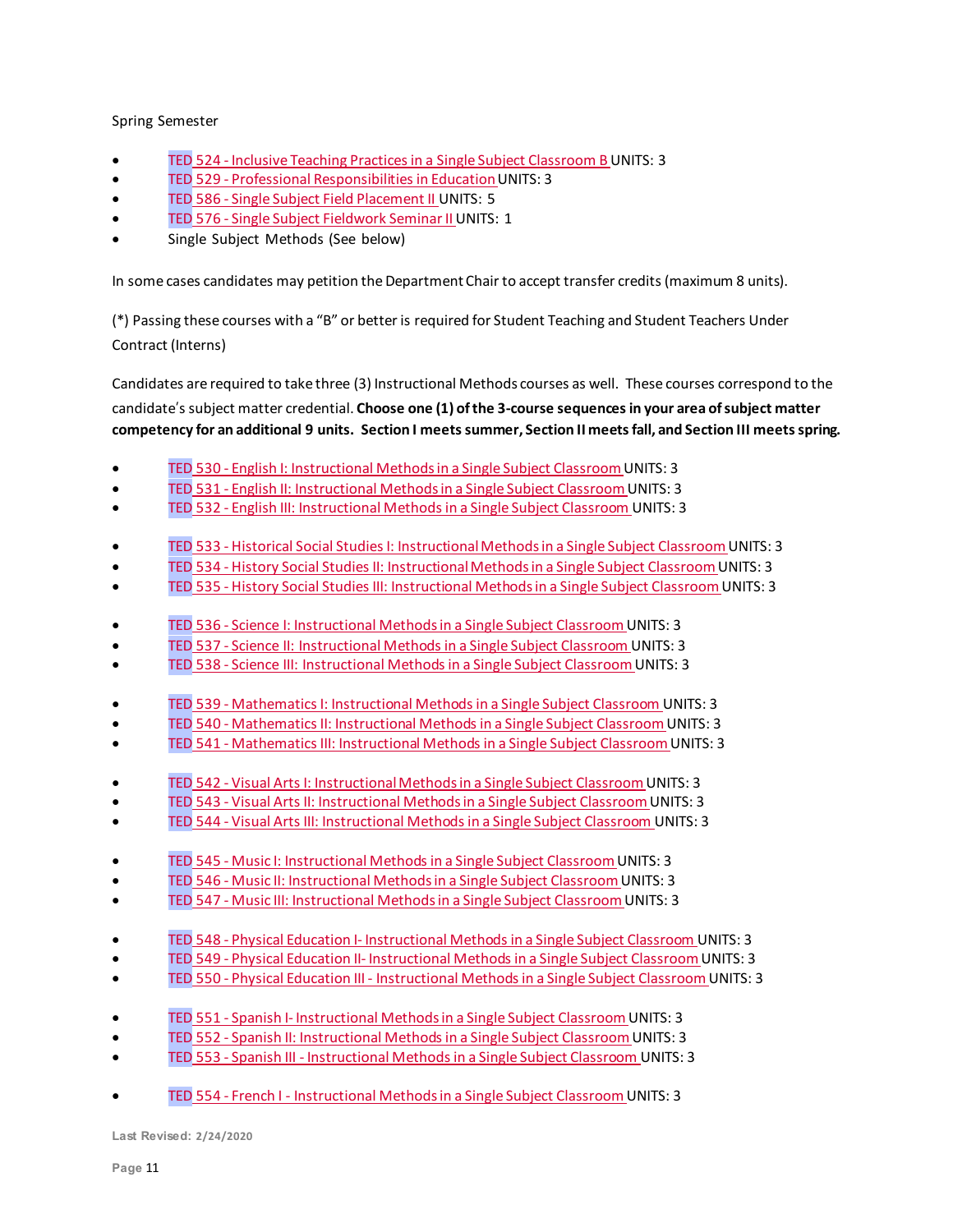#### Spring Semester

- TED 524 Inclusive Teaching Practices in a Single Subject [Classroom](http://catalog.csueastbay.edu/preview_program.php?catoid=21&poid=8458&hl=%22ted%22&returnto=search) B UNITS: 3
- TED 529 Professional [Responsibilities](http://catalog.csueastbay.edu/preview_program.php?catoid=21&poid=8458&hl=%22ted%22&returnto=search) in Education UNITS: 3
- TED 586 Single Subject Field [Placement](http://catalog.csueastbay.edu/preview_program.php?catoid=21&poid=8458&hl=%22ted%22&returnto=search) II UNITS: 5
- TED 576 Single Subject [Fieldwork](http://catalog.csueastbay.edu/preview_program.php?catoid=21&poid=8458&hl=%22ted%22&returnto=search) Seminar II UNITS: 1
- Single Subject Methods (See below)

In some cases candidates may petition the Department Chair to accept transfer credits (maximum 8 units).

(\*) Passing these courses with a "B" or better is required for Student Teaching and Student Teachers Under Contract (Interns)

Candidates are required to take three (3) Instructional Methods courses as well. These courses correspond to the candidate's subject matter credential. **Choose one (1) ofthe 3-course sequencesin your area ofsubject matter competency for an additional 9 units. Section I meetssummer, Section II meetsfall, and Section III meetsspring.**

- TED 530 English I: [Instructional](http://catalog.csueastbay.edu/preview_program.php?catoid=21&poid=8458&hl=%22ted%22&returnto=search) Methodsin a Single Subject ClassroomUNITS: 3
- TED 531 English II: [Instructional](http://catalog.csueastbay.edu/preview_program.php?catoid=21&poid=8458&hl=%22ted%22&returnto=search) Methods in a Single Subject Classroom UNITS: 3
- TED 532 English III: [Instructional](http://catalog.csueastbay.edu/preview_program.php?catoid=21&poid=8458&hl=%22ted%22&returnto=search) Methods in a Single Subject Classroom UNITS: 3
- TED 533 Historical Social Studies I: [InstructionalMethodsin](http://catalog.csueastbay.edu/preview_program.php?catoid=21&poid=8458&hl=%22ted%22&returnto=search) a Single Subject ClassroomUNITS: 3
- TED 534 History Social Studies II: Instructional Methods in a Single Subject Classroom UNITS: 3
- TED 535 History Social Studies III: [Instructional](http://catalog.csueastbay.edu/preview_program.php?catoid=21&poid=8458&hl=%22ted%22&returnto=search) Methodsin a Single Subject ClassroomUNITS: 3
- TED 536 Science I: [Instructional](http://catalog.csueastbay.edu/preview_program.php?catoid=21&poid=8458&hl=%22ted%22&returnto=search) Methodsin a Single Subject ClassroomUNITS: 3
- TED 537 Science II: [Instructional](http://catalog.csueastbay.edu/preview_program.php?catoid=21&poid=8458&hl=%22ted%22&returnto=search) Methods in a Single Subject Classroom UNITS: 3
- TED 538 Science III: [Instructional](http://catalog.csueastbay.edu/preview_program.php?catoid=21&poid=8458&hl=%22ted%22&returnto=search) Methods in a Single Subject ClassroomUNITS: 3
- TED 539 [Mathematics](http://catalog.csueastbay.edu/preview_program.php?catoid=21&poid=8458&hl=%22ted%22&returnto=search) I: Instructional Methods in a Single Subject Classroom UNITS: 3
- TED 540 [Mathematics](http://catalog.csueastbay.edu/preview_program.php?catoid=21&poid=8458&hl=%22ted%22&returnto=search) II: Instructional Methods in a Single Subject ClassroomUNITS: 3
- TED 541 [Mathematics](http://catalog.csueastbay.edu/preview_program.php?catoid=21&poid=8458&hl=%22ted%22&returnto=search) III: Instructional Methods in a Single Subject ClassroomUNITS: 3
- TED 542 Visual Arts I: [InstructionalMethodsin](http://catalog.csueastbay.edu/preview_program.php?catoid=21&poid=8458&hl=%22ted%22&returnto=search) a Single Subject ClassroomUNITS: 3
- TED 543 Visual Arts II: [Instructional](http://catalog.csueastbay.edu/preview_program.php?catoid=21&poid=8458&hl=%22ted%22&returnto=search) Methodsin a Single Subject ClassroomUNITS: 3
- TED 544 Visual Arts III: [Instructional](http://catalog.csueastbay.edu/preview_program.php?catoid=21&poid=8458&hl=%22ted%22&returnto=search) Methods in a Single Subject Classroom UNITS: 3
- TED 545 Music I: [Instructional](http://catalog.csueastbay.edu/preview_program.php?catoid=21&poid=8458&hl=%22ted%22&returnto=search) Methods in a Single Subject ClassroomUNITS: 3
- TED 546 Music II: [Instructional](http://catalog.csueastbay.edu/preview_program.php?catoid=21&poid=8458&hl=%22ted%22&returnto=search) Methods in a Single Subject Classroom UNITS: 3
- TED 547 Music III: [Instructional](http://catalog.csueastbay.edu/preview_program.php?catoid=21&poid=8458&hl=%22ted%22&returnto=search) Methodsin a Single Subject ClassroomUNITS: 3
- TED 548 Physical Education I- [Instructional](http://catalog.csueastbay.edu/preview_program.php?catoid=21&poid=8458&hl=%22ted%22&returnto=search) Methods in a Single Subject Classroom UNITS: 3
- TED 549 Physical Education II- [Instructional](http://catalog.csueastbay.edu/preview_program.php?catoid=21&poid=8458&hl=%22ted%22&returnto=search) Methods in a Single Subject Classroom UNITS: 3
- TED 550 Physical Education III [Instructional](http://catalog.csueastbay.edu/preview_program.php?catoid=21&poid=8458&hl=%22ted%22&returnto=search) Methods in a Single Subject Classroom UNITS: 3
- TED 551 Spanish I- [Instructional](http://catalog.csueastbay.edu/preview_program.php?catoid=21&poid=8458&hl=%22ted%22&returnto=search) Methodsin a Single Subject ClassroomUNITS: 3
- TED 552 Spanish II: [Instructional](http://catalog.csueastbay.edu/preview_program.php?catoid=21&poid=8458&hl=%22ted%22&returnto=search) Methods in a Single Subject ClassroomUNITS: 3
- TED 553 Spanish III [Instructional](http://catalog.csueastbay.edu/preview_program.php?catoid=21&poid=8458&hl=%22ted%22&returnto=search) Methods in a Single Subject Classroom UNITS: 3
- TED 554 French I [Instructional](http://catalog.csueastbay.edu/preview_program.php?catoid=21&poid=8458&hl=%22ted%22&returnto=search) Methodsin a Single Subject ClassroomUNITS: 3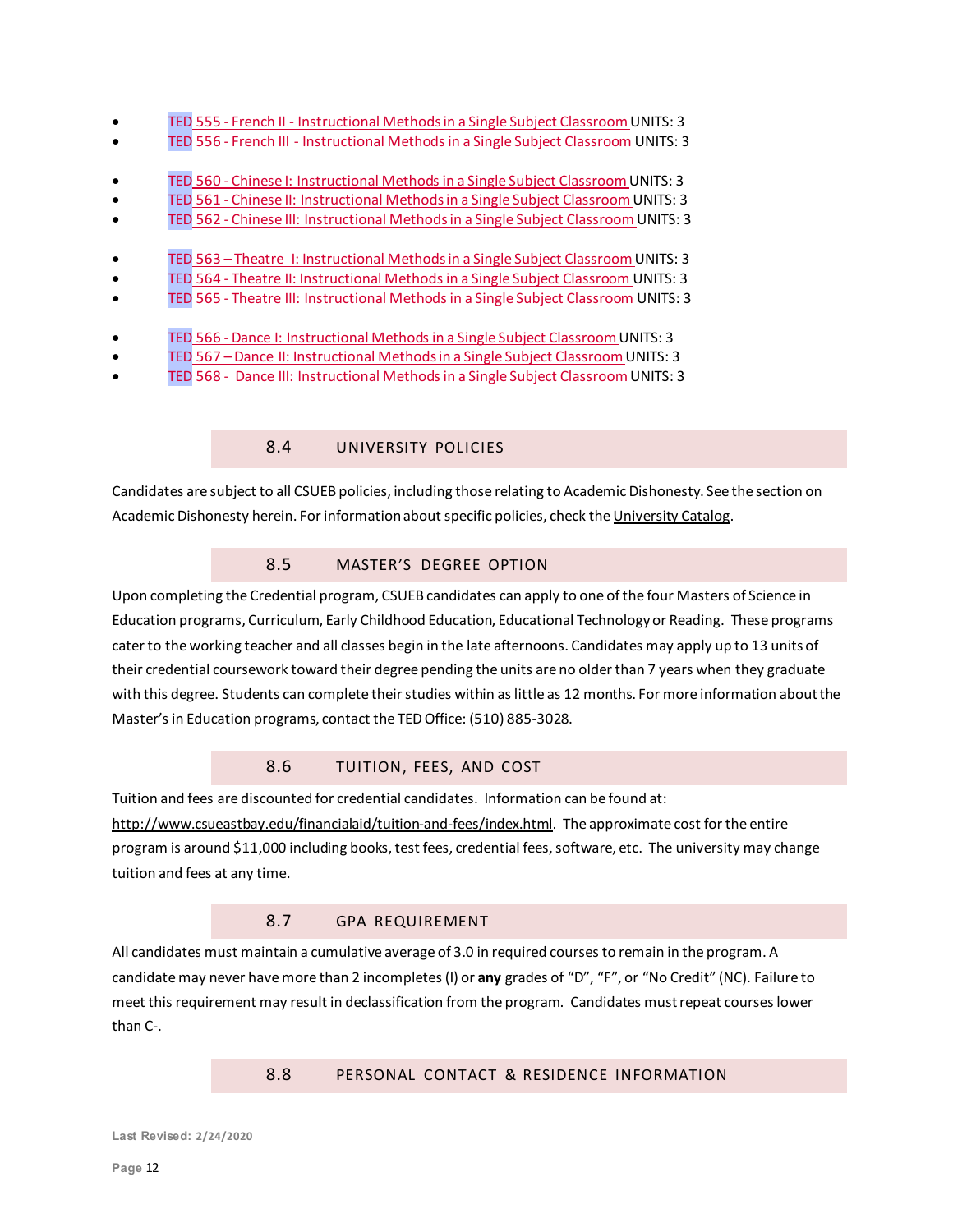- TED 555 French II [Instructional](http://catalog.csueastbay.edu/preview_program.php?catoid=21&poid=8458&hl=%22ted%22&returnto=search) Methods in a Single Subject Classroom UNITS: 3
- TED 556 French III [Instructional](http://catalog.csueastbay.edu/preview_program.php?catoid=21&poid=8458&hl=%22ted%22&returnto=search) Methods in a Single Subject Classroom UNITS: 3
- TED 560 Chinese I: [Instructional](http://catalog.csueastbay.edu/preview_program.php?catoid=21&poid=8458&hl=%22ted%22&returnto=search) Methods in a Single Subject Classroom UNITS: 3
- TED 561 Chinese II: [Instructional](http://catalog.csueastbay.edu/preview_program.php?catoid=21&poid=8458&hl=%22ted%22&returnto=search) Methodsin a Single Subject ClassroomUNITS: 3
- TED 562 Chinese III: [Instructional](http://catalog.csueastbay.edu/preview_program.php?catoid=21&poid=8458&hl=%22ted%22&returnto=search) Methodsin a Single Subject ClassroomUNITS: 3
- TED 563 Theatre I: [Instructional](http://catalog.csueastbay.edu/preview_program.php?catoid=21&poid=8458&hl=%22ted%22&returnto=search) Methodsin a Single Subject ClassroomUNITS: 3
- TED 564 Theatre II: [Instructional](http://catalog.csueastbay.edu/preview_program.php?catoid=21&poid=8458&hl=%22ted%22&returnto=search) Methods in a Single Subject Classroom UNITS: 3
- TED 565 Theatre III: [Instructional](http://catalog.csueastbay.edu/preview_program.php?catoid=21&poid=8458&hl=%22ted%22&returnto=search) Methods in a Single Subject Classroom UNITS: 3
- TED 566 Dance I: [Instructional](http://catalog.csueastbay.edu/preview_program.php?catoid=21&poid=8458&hl=%22ted%22&returnto=search) Methods in a Single Subject ClassroomUNITS: 3
- TED 567 –Dance II: [Instructional](http://catalog.csueastbay.edu/preview_program.php?catoid=21&poid=8458&hl=%22ted%22&returnto=search) Methodsin a Single Subject ClassroomUNITS: 3
- TED 568 Dance III: [Instructional](http://catalog.csueastbay.edu/preview_program.php?catoid=21&poid=8458&hl=%22ted%22&returnto=search) Methods in a Single Subject Classroom UNITS: 3

## 8.4 UNIVERSITY POLICIES

<span id="page-11-0"></span>Candidates are subject to all CSUEB policies, including those relating to Academic Dishonesty. See the section on Academic Dishonesty herein. For information about specific policies, check th[e University Catalog.](http://catalog.csueastbay.edu/)

# 8.5 MASTER'S DEGREE OPTION

<span id="page-11-1"></span>Upon completing the Credential program, CSUEB candidates can apply to one of the four Masters of Science in Education programs, Curriculum, Early Childhood Education, Educational Technology or Reading. These programs cater to the working teacher and all classes begin in the late afternoons. Candidates may apply up to 13 units of their credential coursework toward their degree pending the units are no older than 7 years when they graduate with this degree. Students can complete their studies within as little as 12 months. For more information about the Master's in Education programs, contact the TED Office: (510) 885-3028.

## 8.6 TUITION, FEES, AND COST

<span id="page-11-2"></span>Tuition and fees are discounted for credential candidates. Information can be found at: [http://www.csueastbay.edu/financialaid/tuition-and-fees/index.html.](http://www.csueastbay.edu/financialaid/tuition-and-fees/index.html) The approximate cost for the entire program is around \$11,000 including books, test fees, credential fees, software, etc. The university may change tuition and fees at any time.

## 8.7 GPA REQUIREMENT

<span id="page-11-4"></span><span id="page-11-3"></span>All candidates must maintain a cumulative average of 3.0 in required courses to remain in the program. A candidate may never have more than 2 incompletes (I) or **any** grades of "D", "F", or "No Credit" (NC). Failure to meet this requirement may result in declassification from the program. Candidates must repeat courses lower than C-.

8.8 PERSONAL CONTACT & RESIDENCE INFORMATION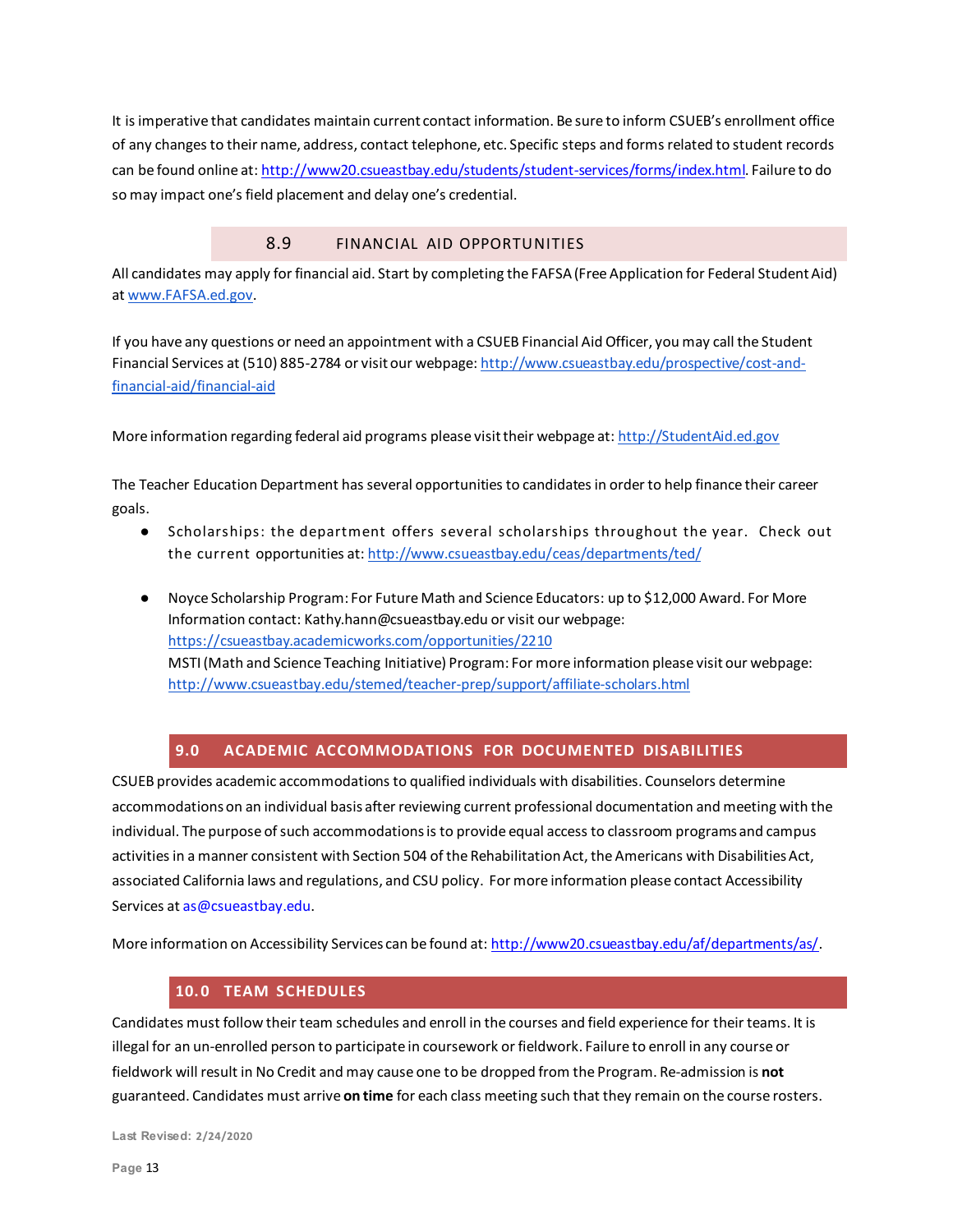It is imperative that candidates maintain current contact information. Be sure to inform CSUEB's enrollment office of any changes to their name, address, contact telephone, etc. Specific steps and forms related to student records can be found online at: [http://www20.csueastbay.edu/students/student-services/forms/index.html.](http://www20.csueastbay.edu/students/student-services/forms/index.html) Failure to do so may impact one's field placement and delay one's credential.

#### 8.9 FINANCIAL AID OPPORTUNITIES

<span id="page-12-0"></span>All candidates may apply for financial aid. Start by completing the FAFSA (Free Application for Federal Student Aid) at [www.FAFSA.ed.gov.](http://www.fafsa.ed.gov/)

If you have any questions or need an appointment with a CSUEB Financial Aid Officer, you may call the Student Financial Services at (510) 885-2784 or visit our webpag[e:](http://www.csueastbay.edu/prospective/cost-and-financial-aid/financial-aid) [http://www.csueastbay.edu/prospective/cost-and](http://www.csueastbay.edu/prospective/cost-and-financial-aid/financial-aid)[financial-aid/financial-aid](http://www.csueastbay.edu/prospective/cost-and-financial-aid/financial-aid)

More information regarding federal aid programs please visit their webpage a[t:](http://studentaid.ed.gov/) [http://StudentAid.ed.gov](http://studentaid.ed.gov/)

The Teacher Education Department has several opportunities to candidates in order to help finance their career goals.

- Scholarships: the department offers several scholarships throughout the year. Check out the current opportunities a[t:](http://www.csueastbay.edu/ceas/departments/ted/) <http://www.csueastbay.edu/ceas/departments/ted/>
- Noyce Scholarship Program: For Future Math and Science Educators: up to \$12,000 Award. For More Information contact: Kathy.hann@csueastbay.edu or visit our webpag[e:](https://csueastbay.academicworks.com/opportunities/2210) <https://csueastbay.academicworks.com/opportunities/2210> MSTI (Math and Science Teaching Initiative) Program: For more information please visit our webpag[e:](http://www.csueastbay.edu/stemed/teacher-prep/support/affiliate-scholars.html) <http://www.csueastbay.edu/stemed/teacher-prep/support/affiliate-scholars.html>

## **9.0 ACADEMIC ACCOMMODATIONS FOR DOCUMENTED DISABILITIES**

<span id="page-12-1"></span>CSUEB provides academic accommodations to qualified individuals with disabilities. Counselors determine accommodations on an individual basis after reviewing current professional documentation and meeting with the individual. The purpose of such accommodations is to provide equal access to classroom programs and campus activities in a manner consistent with Section 504 of the Rehabilitation Act, the Americans with Disabilities Act, associated California laws and regulations, and CSU policy. For more information please contact Accessibility Services a[t as@csueastbay.edu.](mailto:as@csueastbay.edu)

<span id="page-12-2"></span>More information on Accessibility Services can be found at[: http://www20.csueastbay.edu/af/departments/as/.](http://www20.csueastbay.edu/af/departments/as/)

# **10.0 TEAM SCHEDULES**

Candidates must follow their team schedules and enroll in the courses and field experience for their teams. It is illegal for an un-enrolled person to participate in coursework or fieldwork. Failure to enroll in any course or fieldwork will result in No Credit and may cause one to be dropped from the Program. Re-admission is **not**  guaranteed. Candidates must arrive **on time** for each class meeting such that they remain on the course rosters.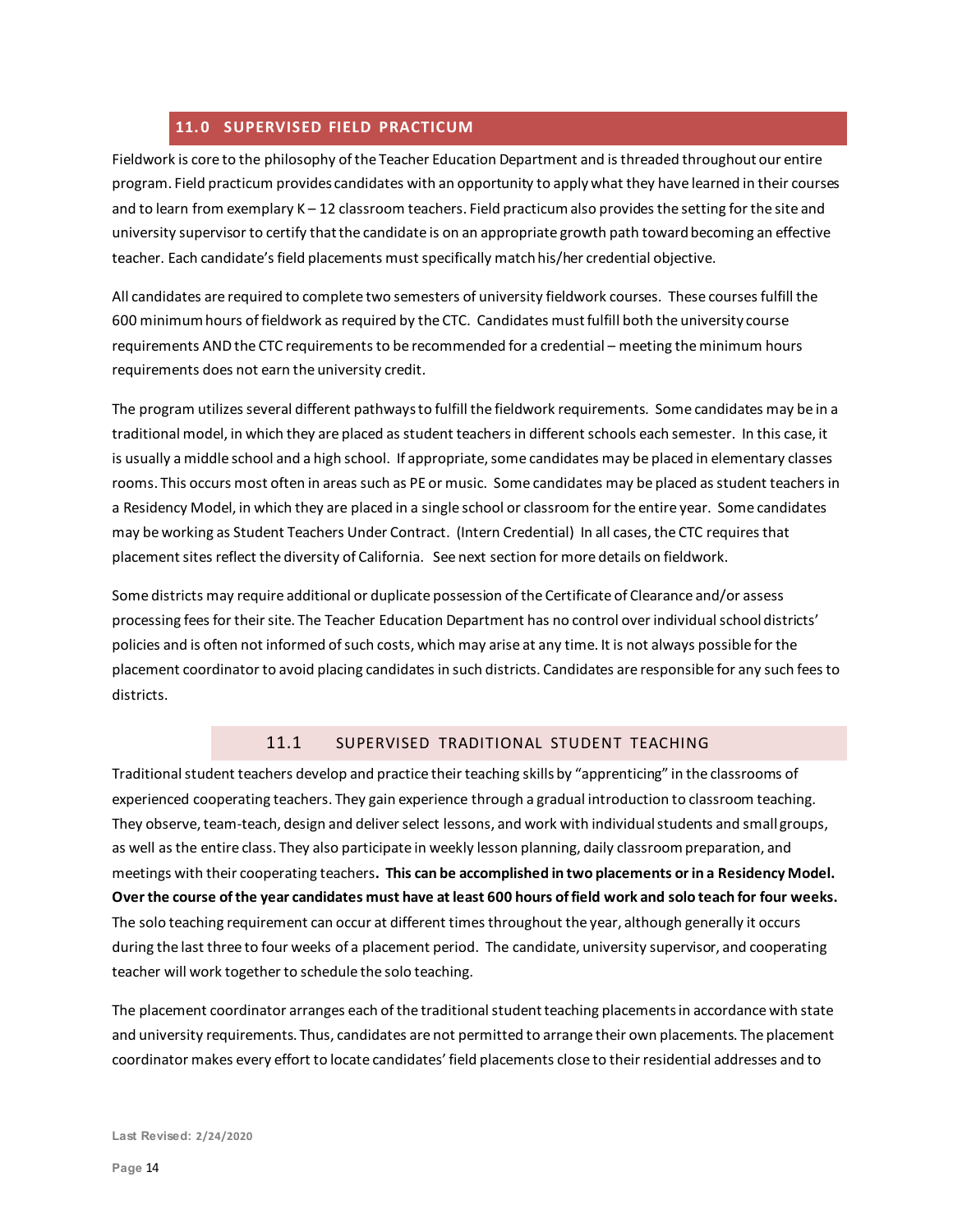#### **11.0 SUPERVISED FIELD PRACTICUM**

<span id="page-13-0"></span>Fieldwork is core to the philosophy of the Teacher Education Department and is threaded throughout our entire program. Field practicum provides candidates with an opportunity to apply what they have learned in their courses and to learn from exemplary K – 12 classroom teachers. Field practicum also provides the setting for the site and university supervisor to certify that the candidate is on an appropriate growth path toward becoming an effective teacher. Each candidate's field placements must specifically match his/her credential objective.

All candidates are required to complete two semesters of university fieldwork courses. These courses fulfill the 600 minimum hours of fieldwork as required by the CTC. Candidates must fulfill both the university course requirements AND the CTC requirements to be recommended for a credential – meeting the minimum hours requirements does not earn the university credit.

The program utilizes several different pathways to fulfill the fieldwork requirements. Some candidates may be in a traditional model, in which they are placed as student teachers in different schools each semester. In this case, it is usually a middle school and a high school. If appropriate, some candidates may be placed in elementary classes rooms. This occurs most often in areas such as PE or music. Some candidates may be placed as student teachers in a Residency Model, in which they are placed in a single school or classroom for the entire year. Some candidates may be working as Student Teachers Under Contract. (Intern Credential) In all cases, the CTC requires that placement sites reflect the diversity of California. See next section for more details on fieldwork.

Some districts may require additional or duplicate possession of the Certificate of Clearance and/or assess processing fees for their site. The Teacher Education Department has no control over individual school districts' policies and is often not informed of such costs, which may arise at any time. It is not always possible for the placement coordinator to avoid placing candidates in such districts. Candidates are responsible for any such fees to districts.

#### 11.1 SUPERVISED TRADITIONAL STUDENT TEACHING

<span id="page-13-1"></span>Traditional student teachers develop and practice their teaching skills by "apprenticing" in the classrooms of experienced cooperating teachers. They gain experience through a gradual introduction to classroom teaching. They observe, team-teach, design and deliver select lessons, and work with individual students and small groups, as well as the entire class. They also participate in weekly lesson planning, daily classroom preparation, and meetings with their cooperating teachers**. This can be accomplished in two placements or in a Residency Model. Over the course of the year candidates must have at least 600 hours of field work and solo teach for four weeks.** The solo teaching requirement can occur at different times throughout the year, although generally it occurs during the last three to four weeks of a placement period. The candidate, university supervisor, and cooperating teacher will work together to schedule the solo teaching.

The placement coordinator arranges each of the traditional student teaching placements in accordance with state and university requirements. Thus, candidates are not permitted to arrange their own placements. The placement coordinator makes every effort to locate candidates' field placements close to their residential addresses and to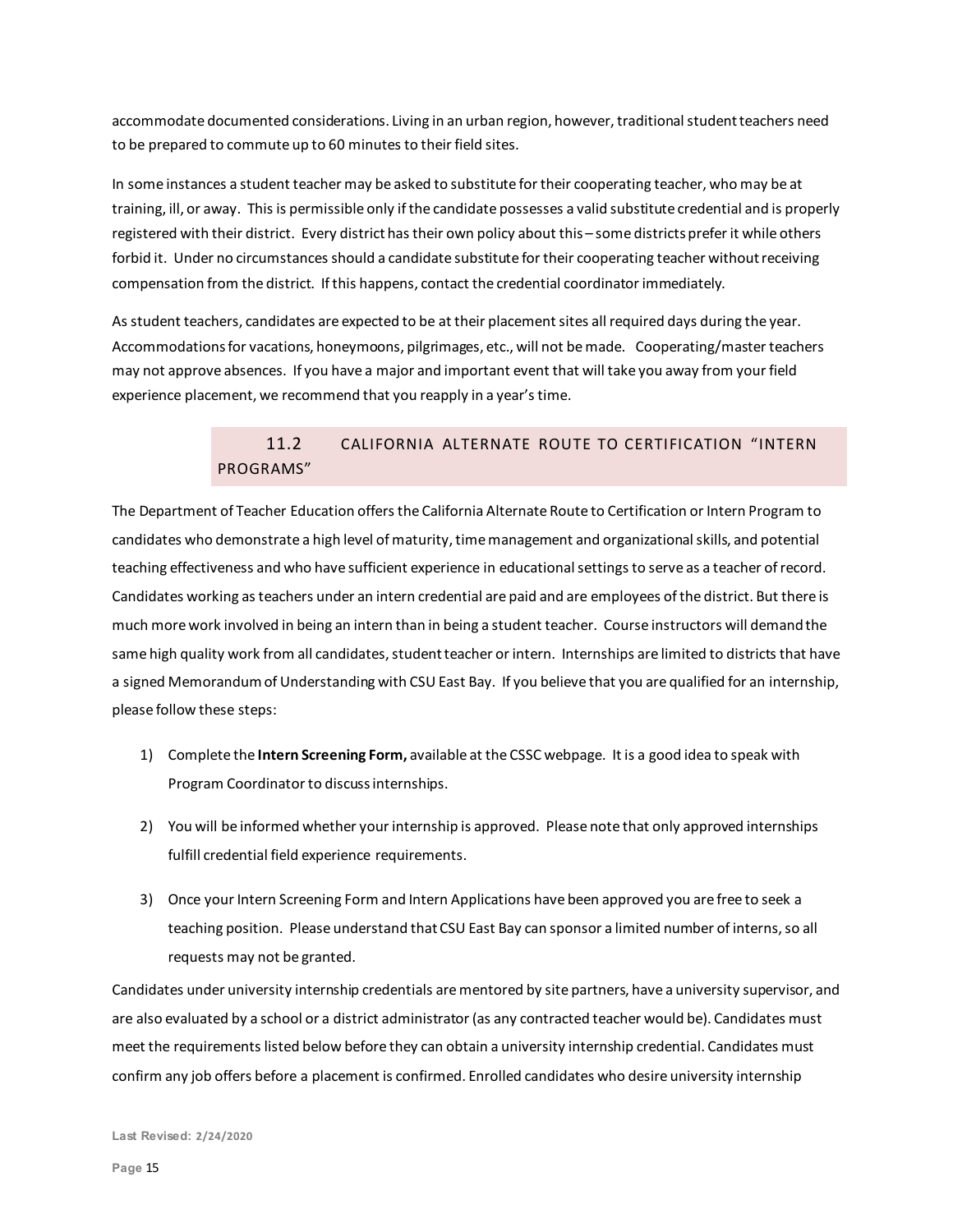accommodate documented considerations. Living in an urban region, however, traditional student teachers need to be prepared to commute up to 60 minutes to their field sites.

In some instances a student teacher may be asked to substitute for their cooperating teacher, who may be at training, ill, or away. This is permissible only if the candidate possesses a valid substitute credential and is properly registered with their district. Every district has their own policy about this – some districts prefer it while others forbid it. Under no circumstances should a candidate substitute for their cooperating teacher without receiving compensation from the district. If this happens, contact the credential coordinator immediately.

As student teachers, candidates are expected to be at their placement sites all required days during the year. Accommodations for vacations, honeymoons, pilgrimages, etc., will not be made. Cooperating/master teachers may not approve absences. If you have a major and important event that will take you away from your field experience placement, we recommend that you reapply in a year's time.

# <span id="page-14-0"></span>11.2 CALIFORNIA ALTERNATE ROUTE TO CERTIFICATION "INTERN PROGRAMS"

The Department of Teacher Education offers the California Alternate Route to Certification or Intern Program to candidates who demonstrate a high level of maturity, time management and organizational skills, and potential teaching effectiveness and who have sufficient experience in educational settings to serve as a teacher of record. Candidates working as teachers under an intern credential are paid and are employees of the district. But there is much more work involved in being an intern than in being a student teacher. Course instructors will demand the same high quality work from all candidates, student teacher or intern. Internships are limited to districts that have a signed Memorandum of Understanding with CSU East Bay. If you believe that you are qualified for an internship, please follow these steps:

- 1) Complete the **Intern Screening Form,** available at the CSSC webpage.It is a good idea to speak with Program Coordinator to discuss internships.
- 2) You will be informed whether your internship is approved. Please note that only approved internships fulfill credential field experience requirements.
- 3) Once your Intern Screening Form and Intern Applications have been approved you are free to seek a teaching position. Please understand that CSU East Bay can sponsor a limited number of interns, so all requests may not be granted.

Candidates under university internship credentials are mentored by site partners, have a university supervisor, and are also evaluated by a school or a district administrator (as any contracted teacher would be). Candidates must meet the requirements listed below before they can obtain a university internship credential. Candidates must confirm any job offers before a placement is confirmed. Enrolled candidates who desire university internship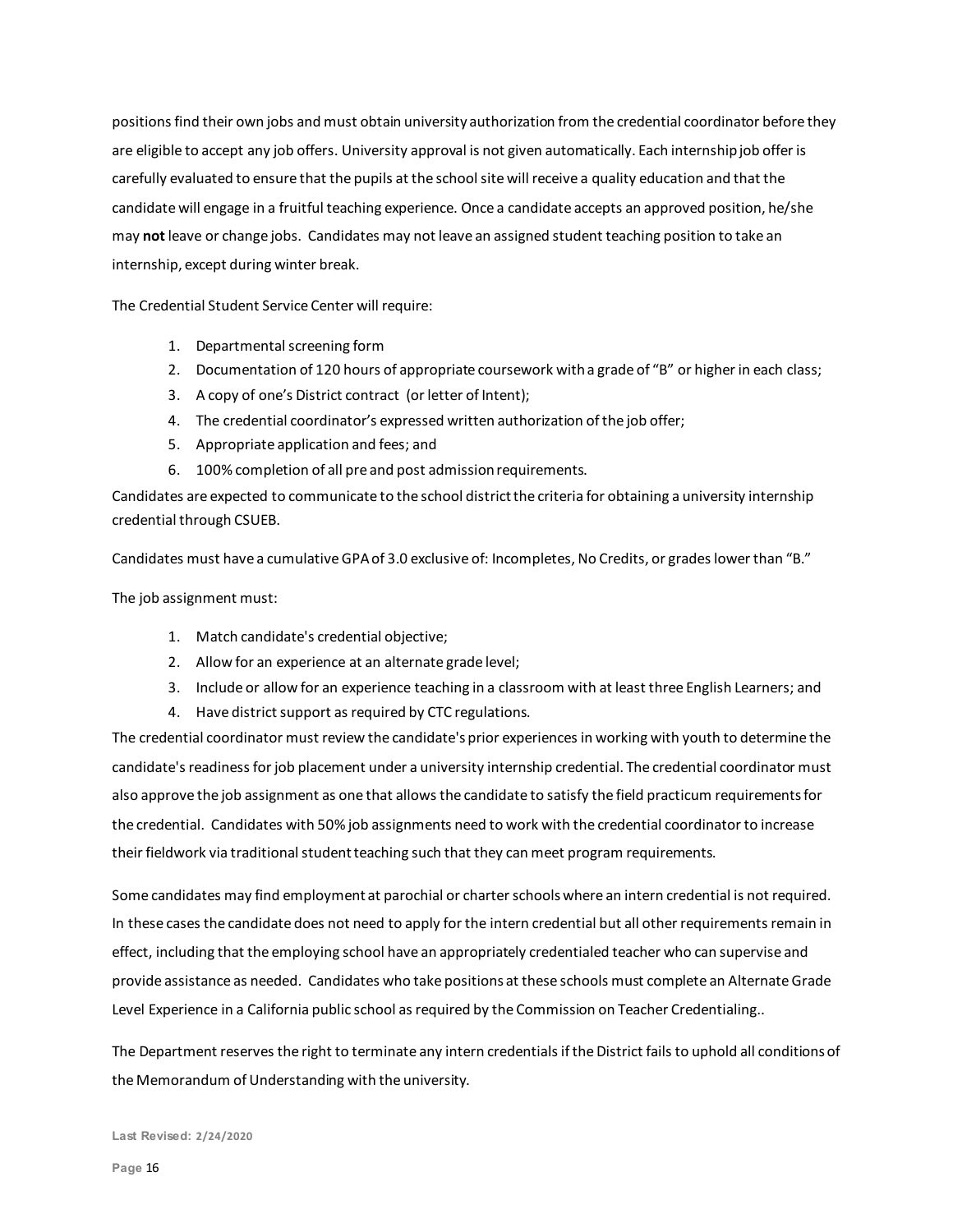positions find their own jobs and must obtain university authorization from the credential coordinator before they are eligible to accept any job offers. University approval is not given automatically. Each internship job offer is carefully evaluated to ensure that the pupils at the school site will receive a quality education and that the candidate will engage in a fruitful teaching experience. Once a candidate accepts an approved position, he/she may **not** leave or change jobs. Candidates may not leave an assigned student teaching position to take an internship, except during winter break.

The Credential Student Service Center will require:

- 1. Departmental screening form
- 2. Documentation of 120 hours of appropriate coursework with a grade of "B" or higher in each class;
- 3. A copy of one's District contract (or letter of Intent);
- 4. The credential coordinator's expressed written authorization of the job offer;
- 5. Appropriate application and fees; and
- 6. 100% completion of all pre and post admission requirements.

Candidates are expected to communicate to the school district the criteria for obtaining a university internship credential through CSUEB.

Candidates must have a cumulative GPA of 3.0 exclusive of: Incompletes, No Credits, or grades lower than "B."

The job assignment must:

- 1. Match candidate's credential objective;
- 2. Allow for an experience at an alternate grade level;
- 3. Include or allow for an experience teaching in a classroom with at least three English Learners; and
- 4. Have district support as required by CTC regulations.

The credential coordinator must review the candidate's prior experiences in working with youth to determine the candidate's readiness for job placement under a university internship credential. The credential coordinator must also approve the job assignment as one that allows the candidate to satisfy the field practicum requirements for the credential. Candidates with 50% job assignments need to work with the credential coordinator to increase their fieldwork via traditional student teaching such that they can meet program requirements.

Some candidates may find employment at parochial or charter schools where an intern credential is not required. In these cases the candidate does not need to apply for the intern credential but all other requirements remain in effect, including that the employing school have an appropriately credentialed teacher who can supervise and provide assistance as needed. Candidates who take positions at these schools must complete an Alternate Grade Level Experience in a California public school as required by the Commission on Teacher Credentialing..

The Department reserves the right to terminate any intern credentials if the District fails to uphold all conditions of the Memorandum of Understanding with the university.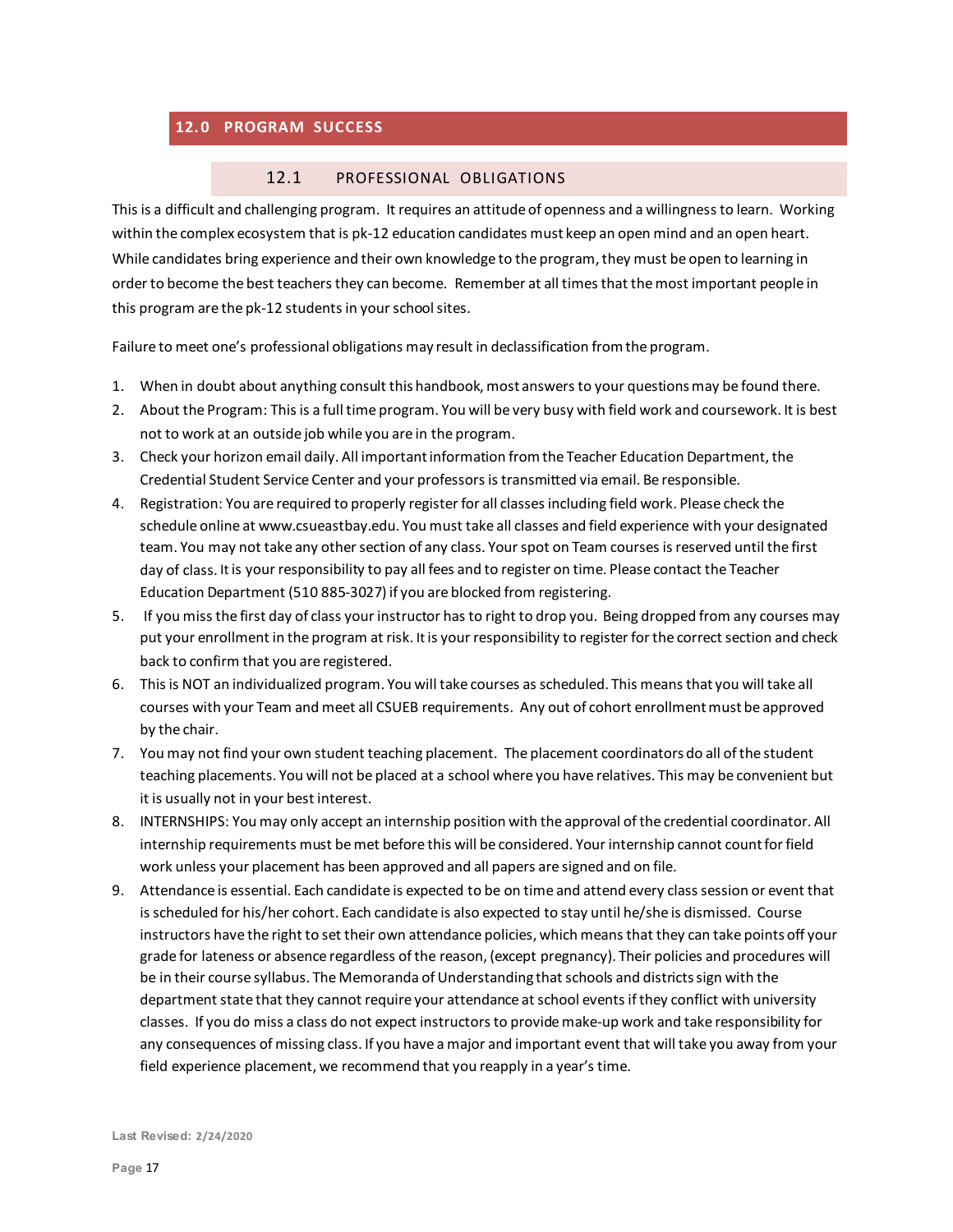#### <span id="page-16-0"></span>**12.0 PROGRAM SUCCESS**

#### 12.1 PROFESSIONAL OBLIGATIONS

<span id="page-16-1"></span>This is a difficult and challenging program. It requires an attitude of openness and a willingness to learn. Working within the complex ecosystem that is pk-12 education candidates must keep an open mind and an open heart. While candidates bring experience and their own knowledge to the program, they must be open to learning in order to become the best teachers they can become. Remember at all times that the most important people in this program are the pk-12 students in your school sites.

Failure to meet one's professional obligations may result in declassification from the program.

- 1. When in doubt about anything consult this handbook, most answers to your questions may be found there.
- 2. About the Program: This is a full time program. You will be very busy with field work and coursework. It is best not to work at an outside job while you are in the program.
- 3. Check your horizon email daily. All important information from the Teacher Education Department, the Credential Student Service Center and your professors is transmitted via email. Be responsible.
- 4. Registration: You are required to properly register for all classes including field work. Please check the schedule online at www.csueastbay.edu. You must take all classes and field experience with your designated team. You may not take any other section of any class. Your spot on Team courses is reserved until the first day of class. It is your responsibility to pay all fees and to register on time. Please contact the Teacher Education Department (510 885-3027) if you are blocked from registering.
- 5. If you miss the first day of class your instructor has to right to drop you. Being dropped from any courses may put your enrollment in the program at risk. It is your responsibility to register for the correct section and check back to confirm that you are registered.
- 6. This is NOT an individualized program. You will take courses as scheduled. This means that you will take all courses with your Team and meet all CSUEB requirements. Any out of cohort enrollment must be approved by the chair.
- 7. You may not find your own student teaching placement. The placement coordinators do all of the student teaching placements. You will not be placed at a school where you have relatives. This may be convenient but it is usually not in your best interest.
- 8. INTERNSHIPS: You may only accept an internship position with the approval of the credential coordinator. All internship requirements must be met before this will be considered. Your internship cannot count for field work unless your placement has been approved and all papers are signed and on file.
- 9. Attendance is essential. Each candidate is expected to be on time and attend every class session or event that is scheduled for his/her cohort. Each candidate is also expected to stay until he/she is dismissed. Course instructors have the right to set their own attendance policies, which means that they can take points off your grade for lateness or absence regardless of the reason, (except pregnancy). Their policies and procedures will be in their course syllabus. The Memoranda of Understanding that schools and districts sign with the department state that they cannot require your attendance at school events if they conflict with university classes. If you do miss a class do not expect instructors to provide make-up work and take responsibility for any consequences of missing class. If you have a major and important event that will take you away from your field experience placement, we recommend that you reapply in a year's time.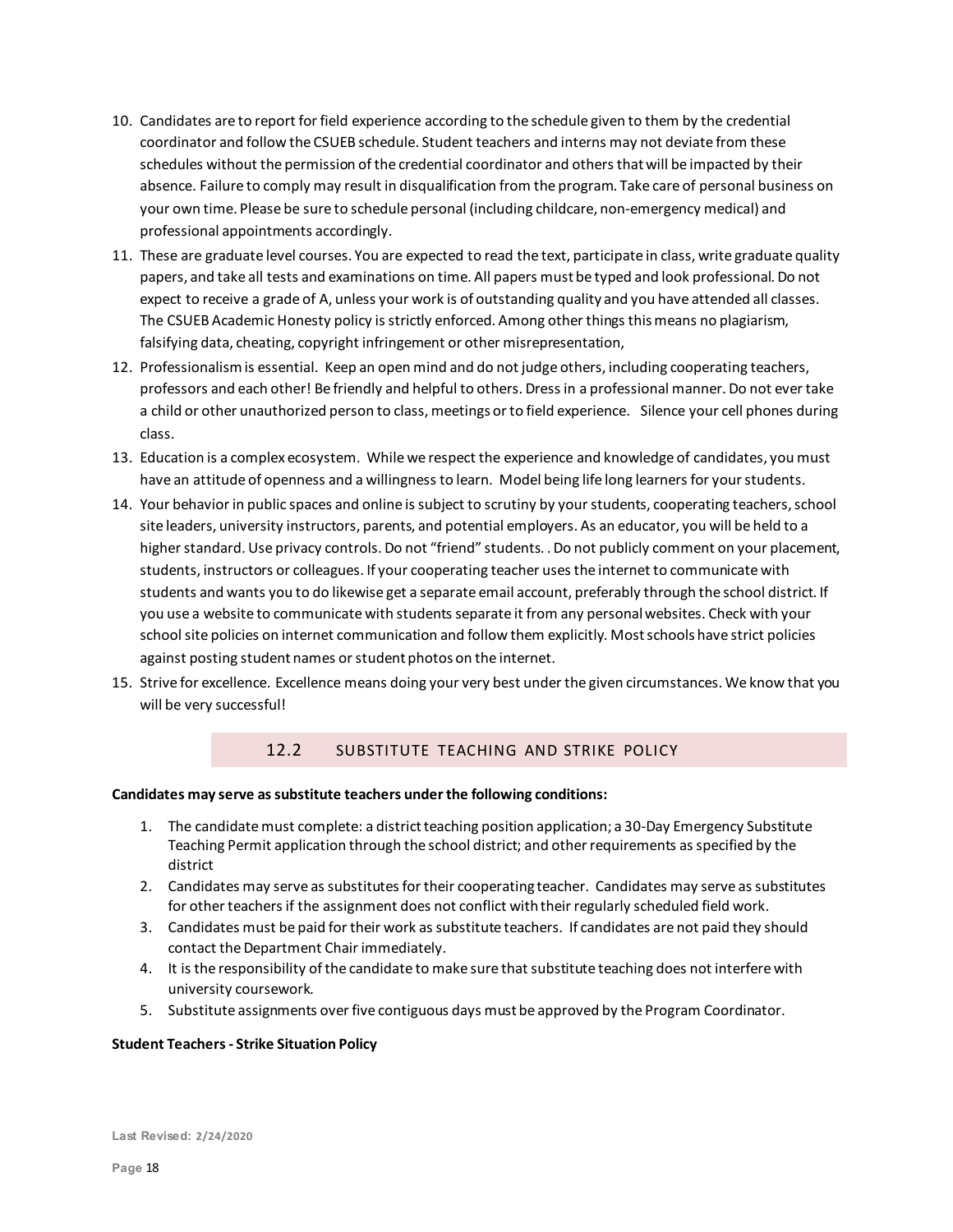- 10. Candidates are to report for field experience according to the schedule given to them by the credential coordinator and follow the CSUEB schedule. Student teachers and interns may not deviate from these schedules without the permission of the credential coordinator and others that will be impacted by their absence. Failure to comply may result in disqualification from the program. Take care of personal business on your own time. Please be sure to schedule personal (including childcare, non-emergency medical) and professional appointments accordingly.
- 11. These are graduate level courses. You are expected to read the text, participate in class, write graduate quality papers, and take all tests and examinations on time. All papers must be typed and look professional. Do not expect to receive a grade of A, unless your work is of outstanding quality and you have attended all classes. The CSUEB Academic Honesty policy is strictly enforced. Among other things this means no plagiarism, falsifying data, cheating, copyright infringement or other misrepresentation,
- 12. Professionalism is essential. Keep an open mind and do not judge others, including cooperating teachers, professors and each other! Be friendly and helpful to others. Dress in a professional manner. Do not ever take a child or other unauthorized person to class, meetings or to field experience. Silence your cell phones during class.
- 13. Education is a complex ecosystem. While we respect the experience and knowledge of candidates, you must have an attitude of openness and a willingness to learn. Model being life long learners for your students.
- 14. Your behavior in public spaces and online is subject to scrutiny by your students, cooperating teachers, school site leaders, university instructors, parents, and potential employers. As an educator, you will be held to a higher standard. Use privacy controls. Do not "friend" students. . Do not publicly comment on your placement, students, instructors or colleagues. If your cooperating teacher uses the internet to communicate with students and wants you to do likewise get a separate email account, preferably through the school district. If you use a website to communicate with students separate it from any personal websites. Check with your school site policies on internet communication and follow them explicitly. Most schools have strict policies against posting student names or student photos on the internet.
- <span id="page-17-0"></span>15. Strive for excellence. Excellence means doing your very best under the given circumstances. We know that you will be very successful!

# 12.2 SUBSTITUTE TEACHING AND STRIKE POLICY

#### **Candidates may serve as substitute teachers under the following conditions:**

- 1. The candidate must complete: a district teaching position application; a 30-Day Emergency Substitute Teaching Permit application through the school district; and other requirements as specified by the district
- 2. Candidates may serve as substitutes for their cooperating teacher. Candidates may serve as substitutes for other teachers if the assignment does not conflict with their regularly scheduled field work.
- 3. Candidates must be paid for their work as substitute teachers. If candidates are not paid they should contact the Department Chair immediately.
- 4. It is the responsibility of the candidate to make sure that substitute teaching does not interfere with university coursework.
- 5. Substitute assignments over five contiguous days must be approved by the Program Coordinator.

#### **Student Teachers- Strike Situation Policy**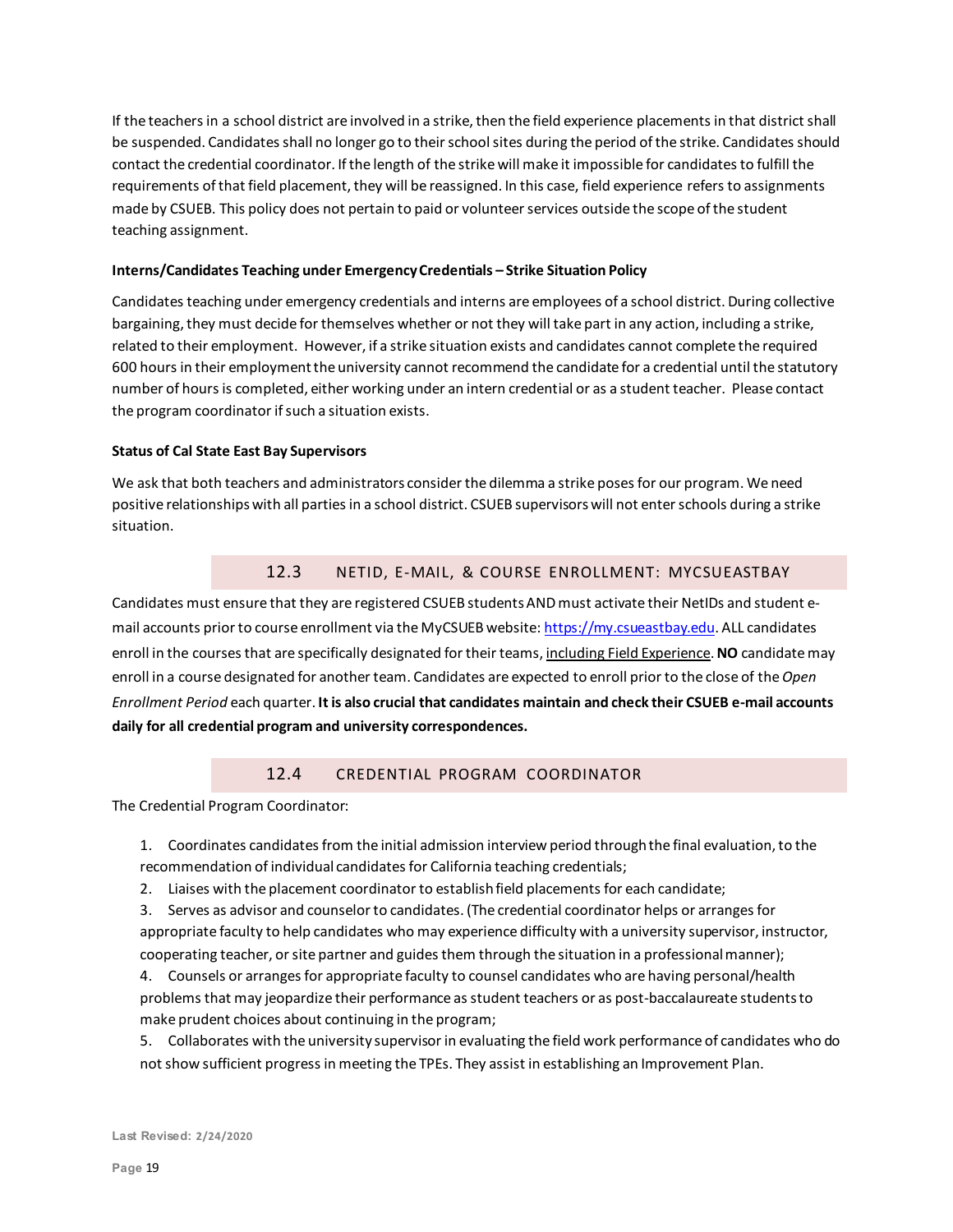If the teachers in a school district are involved in a strike, then the field experience placements in that district shall be suspended. Candidates shall no longer go to their school sites during the period of the strike. Candidates should contact the credential coordinator. If the length of the strike will make it impossible for candidates to fulfill the requirements of that field placement, they will be reassigned. In this case, field experience refers to assignments made by CSUEB. This policy does not pertain to paid or volunteer services outside the scope of the student teaching assignment.

#### **Interns/Candidates Teaching under Emergency Credentials – Strike Situation Policy**

Candidates teaching under emergency credentials and interns are employees of a school district. During collective bargaining, they must decide for themselves whether or not they will take part in any action, including a strike, related to their employment. However, if a strike situation exists and candidates cannot complete the required 600 hours in their employment the university cannot recommend the candidate for a credential until the statutory number of hours is completed, either working under an intern credential or as a student teacher. Please contact the program coordinator if such a situation exists.

#### **Status of Cal State East Bay Supervisors**

We ask that both teachers and administrators consider the dilemma a strike poses for our program. We need positive relationships with all parties in a school district. CSUEB supervisors will not enter schools during a strike situation.

# 12.3 NETID, E-MAIL, & COURSE ENROLLMENT: MYCSUEASTBAY

<span id="page-18-0"></span>Candidates must ensure that they are registered CSUEB students AND must activate their NetIDs and student email accounts prior to course enrollment via the MyCSUEB website[: https://my.csueastbay.edu.](https://my.csueastbay.edu/) ALL candidates enroll in the courses that are specifically designated for their teams, including Field Experience. **NO** candidate may enroll in a course designated for another team. Candidates are expected to enroll prior to the close of the *Open Enrollment Period* each quarter. **It is also crucial that candidates maintain and check their CSUEB e-mail accounts daily for all credential program and university correspondences.**

## 12.4 CREDENTIAL PROGRAM COORDINATOR

<span id="page-18-1"></span>The Credential Program Coordinator:

- 1. Coordinates candidates from the initial admission interview period through the final evaluation, to the recommendation of individual candidates for California teaching credentials;
- 2. Liaises with the placement coordinator to establish field placements for each candidate;
- 3. Serves as advisor and counselor to candidates. (The credential coordinator helps or arranges for appropriate faculty to help candidates who may experience difficulty with a university supervisor, instructor, cooperating teacher, or site partner and guides them through the situation in a professional manner);
- 4. Counsels or arranges for appropriate faculty to counsel candidates who are having personal/health problems that may jeopardize their performance as student teachers or as post-baccalaureate students to make prudent choices about continuing in the program;
- 5. Collaborates with the university supervisor in evaluating the field work performance of candidates who do not show sufficient progress in meeting the TPEs. They assist in establishing an Improvement Plan.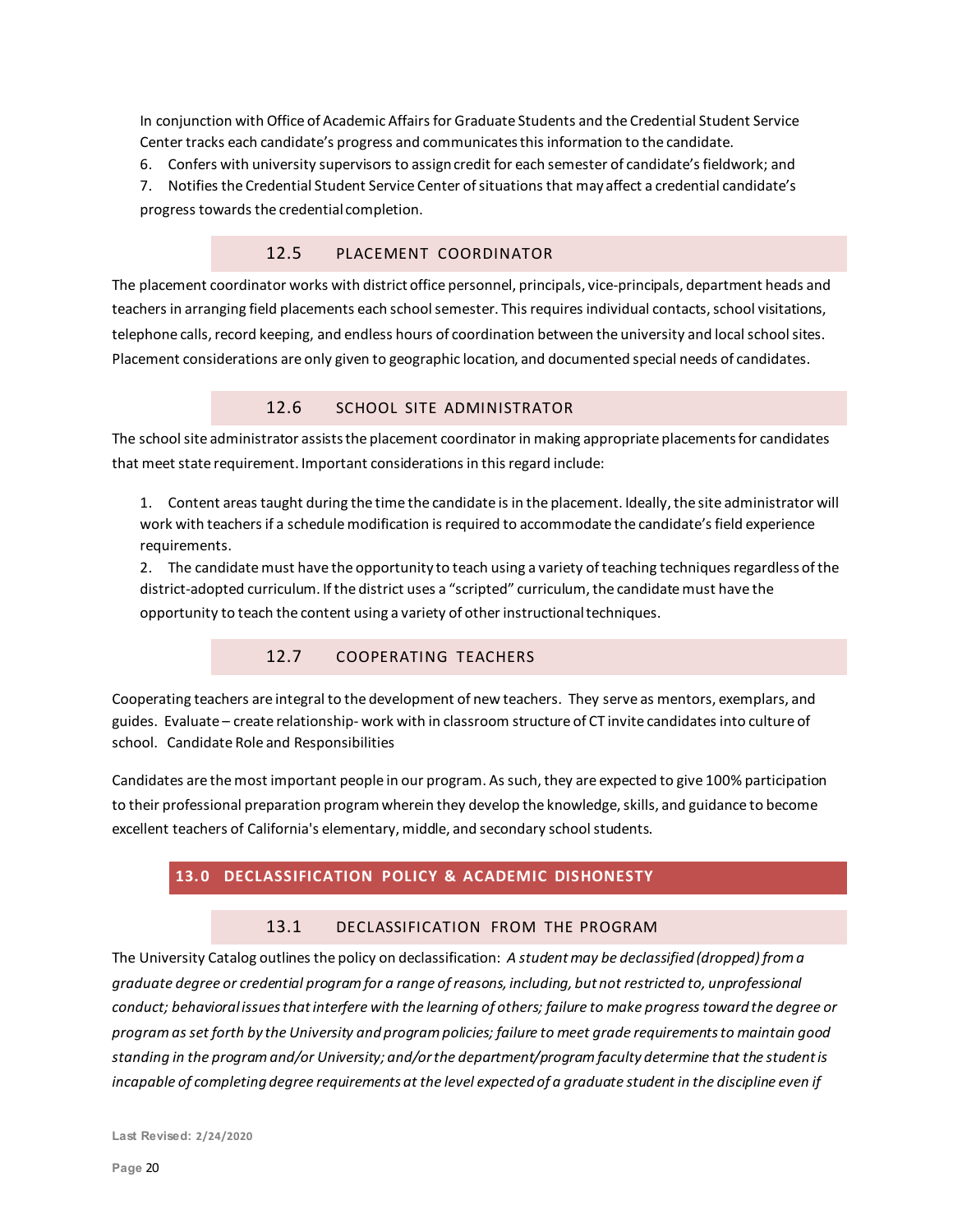In conjunction with Office of Academic Affairs for Graduate Students and the Credential Student Service Center tracks each candidate's progress and communicates this information to the candidate.

6. Confers with university supervisors to assign credit for each semester of candidate's fieldwork; and

7. Notifies the Credential Student Service Center of situations that may affect a credential candidate's progress towards the credential completion.

## 12.5 PLACEMENT COORDINATOR

<span id="page-19-0"></span>The placement coordinator works with district office personnel, principals, vice-principals, department heads and teachers in arranging field placements each school semester. This requires individual contacts, school visitations, telephone calls, record keeping, and endless hours of coordination between the university and local school sites. Placement considerations are only given to geographic location, and documented special needs of candidates.

## 12.6 SCHOOL SITE ADMINISTRATOR

<span id="page-19-1"></span>The school site administrator assists the placement coordinator in making appropriate placements for candidates that meet state requirement. Important considerations in this regard include:

1. Content areas taught during the time the candidate is in the placement. Ideally, the site administrator will work with teachers if a schedule modification is required to accommodate the candidate's field experience requirements.

2. The candidate must have the opportunity to teach using a variety of teaching techniques regardless of the district-adopted curriculum. If the district uses a "scripted" curriculum, the candidate must have the opportunity to teach the content using a variety of other instructional techniques.

# 12.7 COOPERATING TEACHERS

<span id="page-19-2"></span>Cooperating teachers are integral to the development of new teachers. They serve as mentors, exemplars, and guides. Evaluate – create relationship- work with in classroom structure of CT invite candidates into culture of school. Candidate Role and Responsibilities

Candidates are the most important people in our program. As such, they are expected to give 100% participation to their professional preparation program wherein they develop the knowledge, skills, and guidance to become excellent teachers of California's elementary, middle, and secondary school students.

# <span id="page-19-3"></span>**13.0 DECLASSIFICATION POLICY & ACADEMIC DISHONESTY**

# 13.1 DECLASSIFICATION FROM THE PROGRAM

<span id="page-19-4"></span>The University Catalog outlines the policy on declassification: *A student may be declassified (dropped) from a graduate degree or credential program for a range of reasons, including, but not restricted to, unprofessional conduct; behavioral issues that interfere with the learning of others; failure to make progress toward the degree or program as set forth by the University and program policies; failure to meet grade requirements to maintain good standing in the program and/or University; and/or the department/program faculty determine that the student is*  incapable of completing degree requirements at the level expected of a graduate student in the discipline even if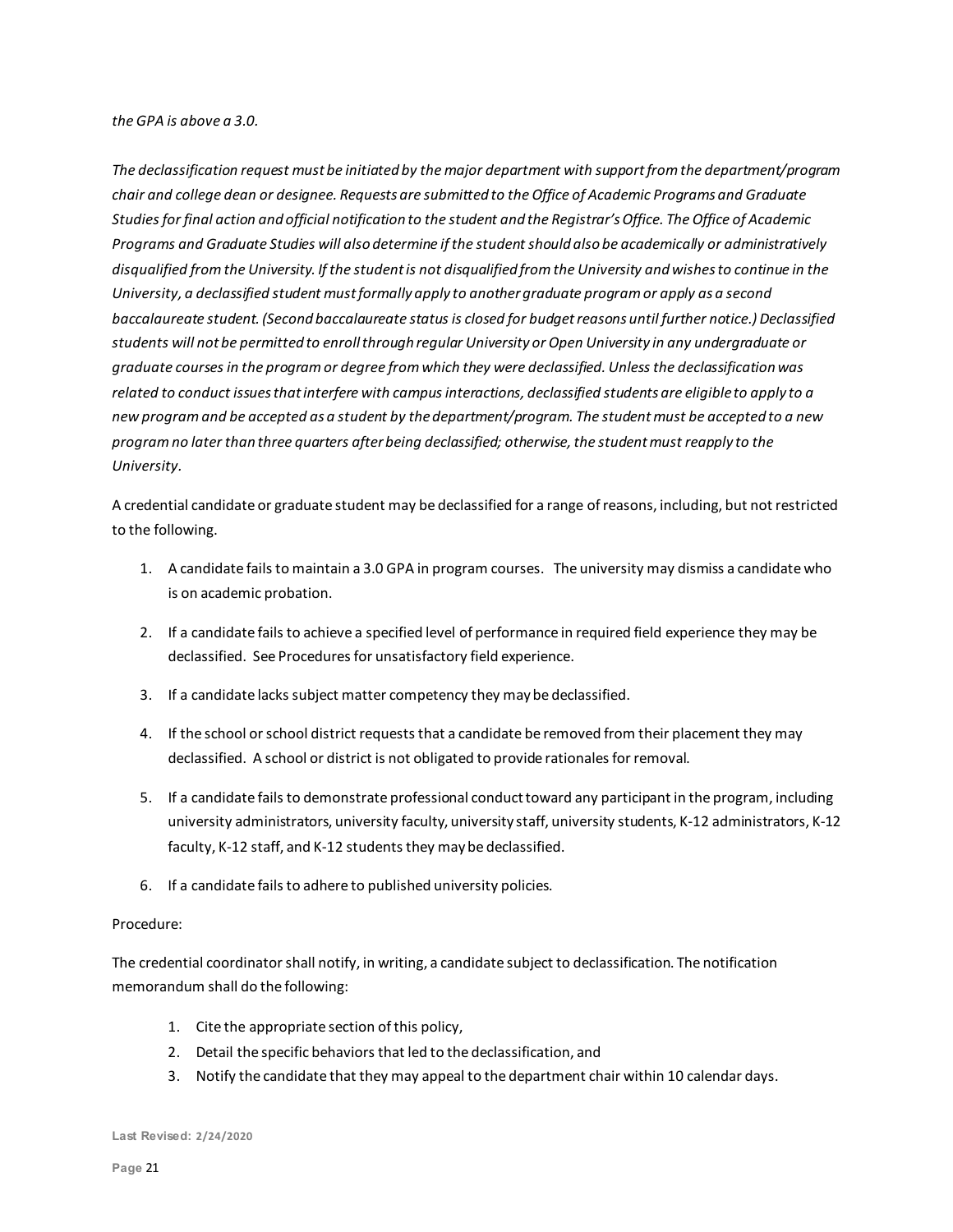#### *the GPA is above a 3.0.*

*The declassification request must be initiated by the major department with support from the department/program chair and college dean or designee. Requests are submitted to the Office of Academic Programs and Graduate Studies for final action and official notification to the student and the Registrar's Office. The Office of Academic Programs and Graduate Studies will also determine if the student should also be academically or administratively disqualified from the University. If the student is not disqualified from the University and wishes to continue in the University, a declassified student must formally apply to another graduate program or apply as a second baccalaureate student. (Second baccalaureate status is closed for budget reasons until further notice.) Declassified students will not be permitted to enroll through regular University or Open University in any undergraduate or graduate courses in the program or degree from which they were declassified. Unless the declassificationwas*  related to conduct issues that interfere with campus interactions, declassified students are eligible to apply to a *new program and be accepted as a student by the department/program. The student must be accepted to a new program no later than three quarters after being declassified; otherwise, the student must reapply to the University.*

A credential candidate or graduate student may be declassified for a range of reasons, including, but not restricted to the following.

- 1. A candidate fails to maintain a 3.0 GPA in program courses. The university may dismiss a candidate who is on academic probation.
- 2. If a candidate fails to achieve a specified level of performance in required field experience they may be declassified. See Procedures for unsatisfactory field experience.
- 3. If a candidate lacks subject matter competency they may be declassified.
- 4. If the school or school district requests that a candidate be removed from their placement they may declassified. A school or district is not obligated to provide rationales for removal.
- 5. If a candidate fails to demonstrate professional conduct toward any participant in the program, including university administrators, university faculty, university staff, university students, K-12 administrators, K-12 faculty, K-12 staff, and K-12 students they may be declassified.
- 6. If a candidate fails to adhere to published university policies.

#### Procedure:

The credential coordinator shall notify, in writing, a candidate subject to declassification. The notification memorandum shall do the following:

- 1. Cite the appropriate section of this policy,
- 2. Detail the specific behaviors that led to the declassification, and
- 3. Notify the candidate that they may appeal to the department chair within 10 calendar days.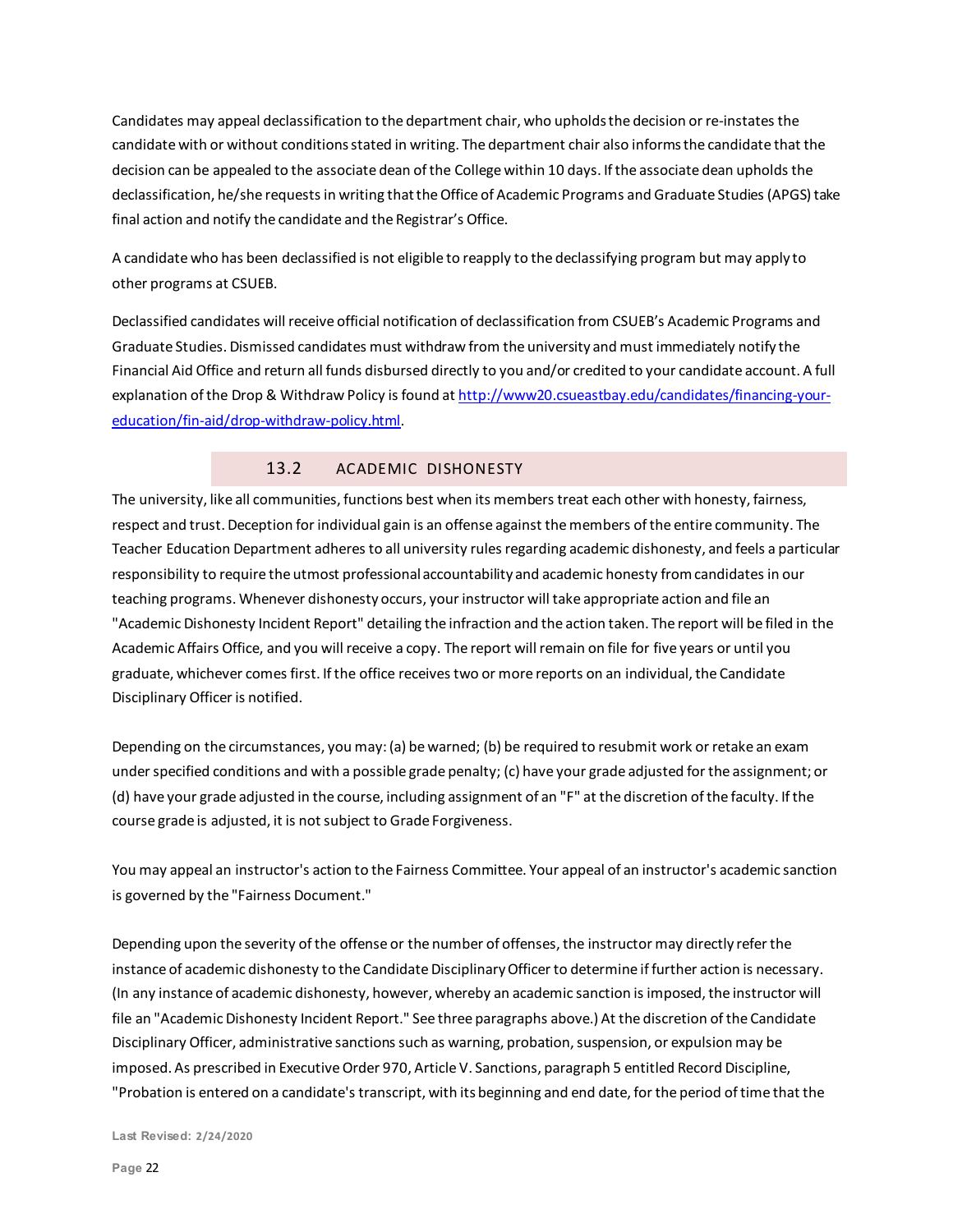Candidates may appeal declassification to the department chair, who upholds the decision or re-instates the candidate with or without conditions stated in writing. The department chair also informs the candidate that the decision can be appealed to the associate dean of the College within 10 days. If the associate dean upholds the declassification, he/she requests in writing that the Office of Academic Programs and Graduate Studies (APGS) take final action and notify the candidate and the Registrar's Office.

A candidate who has been declassified is not eligible to reapply to the declassifying program but may apply to other programs at CSUEB.

Declassified candidates will receive official notification of declassification from CSUEB's Academic Programs and Graduate Studies. Dismissed candidates must withdraw from the university and must immediately notify the Financial Aid Office and return all funds disbursed directly to you and/or credited to your candidate account. A full explanation of the Drop & Withdraw Policy is found a[t http://www20.csueastbay.edu/candidates/financing-your](http://www20.csueastbay.edu/students/financing-your-education/fin-aid/drop-withdraw-policy.html)[education/fin-aid/drop-withdraw-policy.html.](http://www20.csueastbay.edu/students/financing-your-education/fin-aid/drop-withdraw-policy.html)

## 13.2 ACADEMIC DISHONESTY

<span id="page-21-0"></span>The university, like all communities, functions best when its members treat each other with honesty, fairness, respect and trust. Deception for individual gain is an offense against the members of the entire community. The Teacher Education Department adheres to all university rules regarding academic dishonesty, and feels a particular responsibility to require the utmost professional accountability and academic honesty from candidates in our teaching programs. Whenever dishonesty occurs, your instructor will take appropriate action and file an "Academic Dishonesty Incident Report" detailing the infraction and the action taken. The report will be filed in the Academic Affairs Office, and you will receive a copy. The report will remain on file for five years or until you graduate, whichever comes first. If the office receives two or more reports on an individual, the Candidate Disciplinary Officer is notified.

Depending on the circumstances, you may: (a) be warned; (b) be required to resubmit work or retake an exam under specified conditions and with a possible grade penalty; (c) have your grade adjusted for the assignment; or (d) have your grade adjusted in the course, including assignment of an "F" at the discretion of the faculty. If the course grade is adjusted, it is not subject to Grade Forgiveness.

You may appeal an instructor's action to the Fairness Committee. Your appeal of an instructor's academic sanction is governed by the "Fairness Document."

Depending upon the severity of the offense or the number of offenses, the instructor may directly refer the instance of academic dishonesty to the Candidate Disciplinary Officer to determine if further action is necessary. (In any instance of academic dishonesty, however, whereby an academic sanction is imposed, the instructor will file an "Academic Dishonesty Incident Report." See three paragraphs above.) At the discretion of the Candidate Disciplinary Officer, administrative sanctions such as warning, probation, suspension, or expulsion may be imposed. As prescribed in Executive Order 970, Article V. Sanctions, paragraph 5 entitled Record Discipline, "Probation is entered on a candidate's transcript, with its beginning and end date, for the period of time that the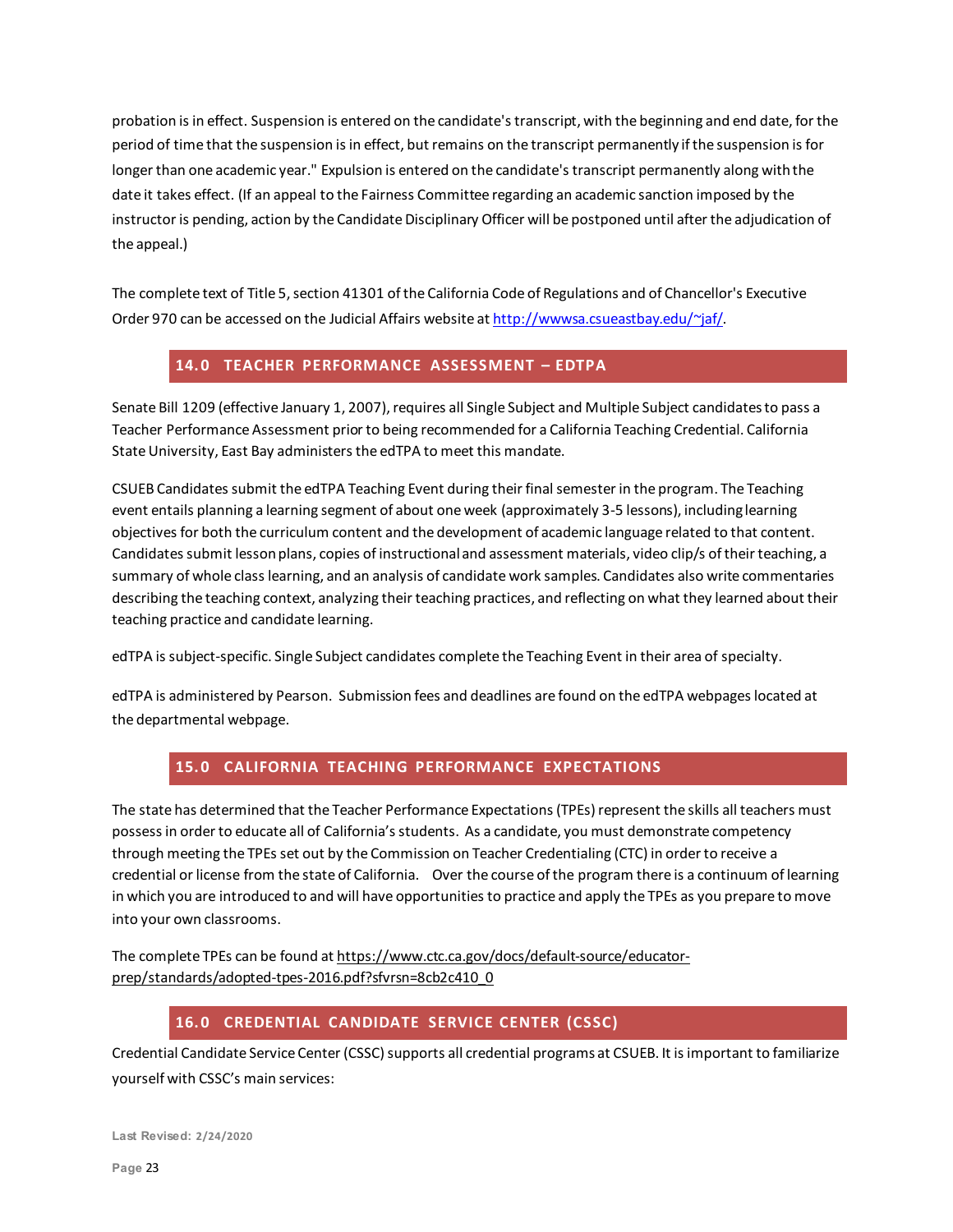probation is in effect. Suspension is entered on the candidate's transcript, with the beginning and end date, for the period of time that the suspension is in effect, but remains on the transcript permanently if the suspension is for longer than one academic year." Expulsion is entered on the candidate's transcript permanently along with the date it takes effect. (If an appeal to the Fairness Committee regarding an academic sanction imposed by the instructor is pending, action by the Candidate Disciplinary Officer will be postponed until after the adjudication of the appeal.)

The complete text of Title 5, section 41301 of the California Code of Regulations and of Chancellor's Executive Order 970 can be accessed on the Judicial Affairs website at [http://wwwsa.csueastbay.edu/~jaf/.](http://wwwsa.csueastbay.edu/%7Ejaf/)

# **14.0 TEACHER PERFORMANCE ASSESSMENT – EDTPA**

<span id="page-22-0"></span>Senate Bill 1209 (effective January 1, 2007), requires all Single Subject and Multiple Subject candidates to pass a Teacher Performance Assessment prior to being recommended for a California Teaching Credential. California State University, East Bay administers the edTPA to meet this mandate.

CSUEB Candidates submit the edTPA Teaching Event during their finalsemester in the program. The Teaching event entails planning a learning segment of about one week (approximately 3-5 lessons), including learning objectives for both the curriculum content and the development of academic language related to that content. Candidates submit lesson plans, copies of instructional and assessment materials, video clip/s of their teaching, a summary of whole class learning, and an analysis of candidate work samples. Candidates also write commentaries describing the teaching context, analyzing their teaching practices, and reflecting on what they learned about their teaching practice and candidate learning.

edTPA is subject-specific. Single Subject candidates complete the Teaching Event in their area of specialty.

edTPA is administered by Pearson. Submission fees and deadlines are found on the edTPA webpages located at the departmental webpage.

# **15.0 CALIFORNIA TEACHING PERFORMANCE EXPECTATIONS**

<span id="page-22-1"></span>The state has determined that the Teacher Performance Expectations (TPEs) represent the skills all teachers must possess in order to educate all of California's students. As a candidate, you must demonstrate competency through meeting the TPEs set out by the Commission on Teacher Credentialing (CTC) in order to receive a credential or license from the state of California. Over the course of the program there is a continuum of learning in which you are introduced to and will have opportunities to practice and apply the TPEs as you prepare to move into your own classrooms.

The complete TPEs can be found at [https://www.ctc.ca.gov/docs/default-source/educator](https://www.ctc.ca.gov/docs/default-source/educator-prep/standards/adopted-tpes-2016.pdf?sfvrsn=8cb2c410_0)[prep/standards/adopted-tpes-2016.pdf?sfvrsn=8cb2c410\\_0](https://www.ctc.ca.gov/docs/default-source/educator-prep/standards/adopted-tpes-2016.pdf?sfvrsn=8cb2c410_0)

# **16.0 CREDENTIAL CANDIDATE SERVICE CENTER (CSSC)**

<span id="page-22-2"></span>Credential Candidate Service Center (CSSC) supports all credential programs at CSUEB. It is important to familiarize yourself with CSSC's main services: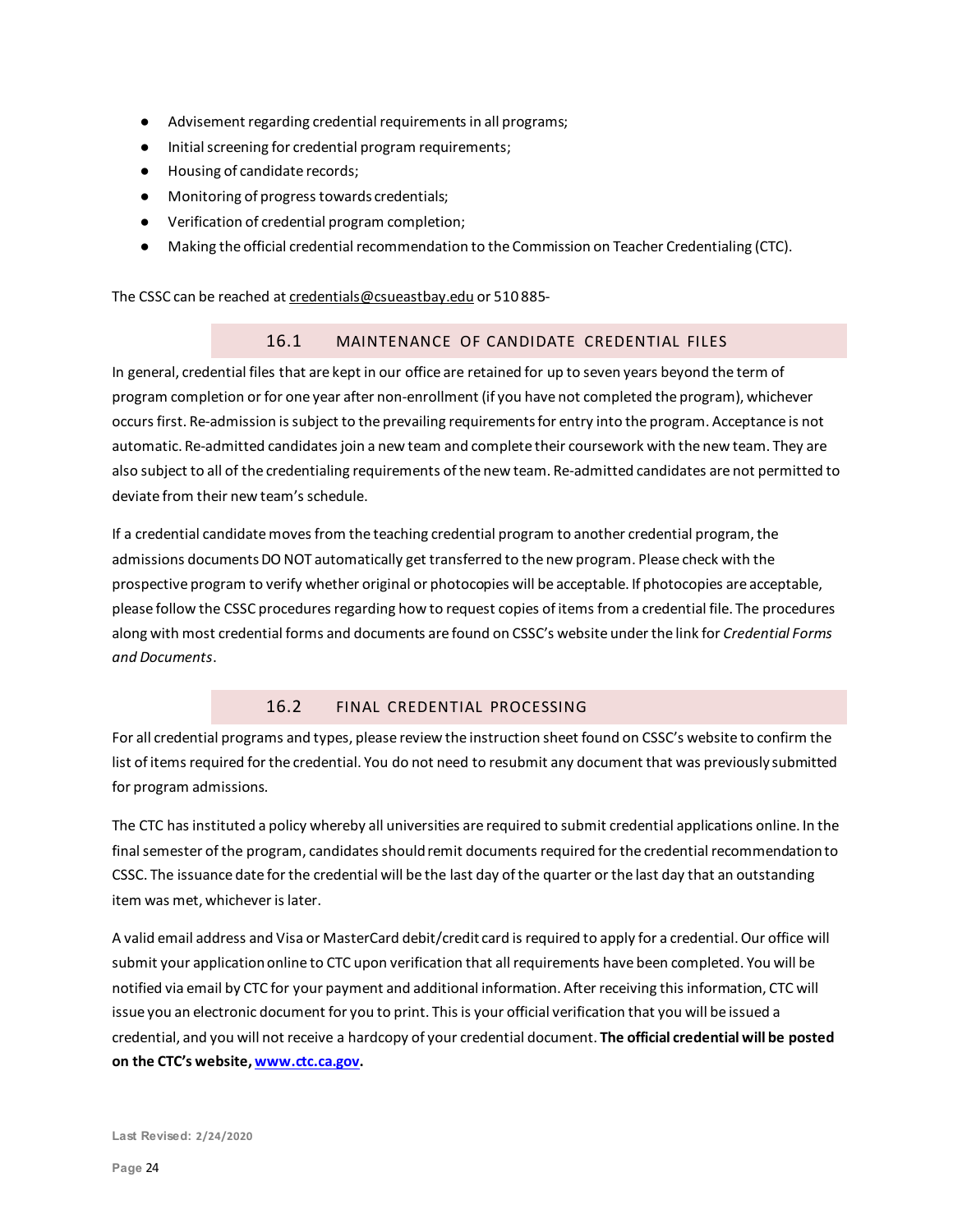- Advisement regarding credential requirements in all programs;
- Initial screening for credential program requirements;
- Housing of candidate records;
- Monitoring of progress towards credentials;
- Verification of credential program completion;
- Making the official credential recommendation to the Commission on Teacher Credentialing (CTC).

<span id="page-23-0"></span>The CSSC can be reached at [credentials@csueastbay.edu](mailto:credentials@csueastbay.edu) or 510 885-

#### 16.1 MAINTENANCE OF CANDIDATE CREDENTIAL FILES

In general, credential files that are kept in our office are retained for up to seven years beyond the term of program completion or for one year after non-enrollment (if you have not completed the program), whichever occurs first. Re-admission is subject to the prevailing requirements for entry into the program. Acceptance is not automatic. Re-admitted candidates join a new team and complete their coursework with the new team. They are also subject to all of the credentialing requirements of the new team. Re-admitted candidates are not permitted to deviate from their new team's schedule.

If a credential candidate moves from the teaching credential program to another credential program, the admissions documents DO NOT automatically get transferred to the new program. Please check with the prospective program to verify whether original or photocopies will be acceptable. If photocopies are acceptable, please follow the CSSC procedures regarding how to request copies of items from a credential file. The procedures along with most credential forms and documents are found on CSSC's website under the link for *Credential Forms and Documents*.

#### 16.2 FINAL CREDENTIAL PROCESSING

<span id="page-23-1"></span>For all credential programs and types, please review the instruction sheet found on CSSC's website to confirm the list of items required for the credential. You do not need to resubmit any document that was previously submitted for program admissions.

The CTC has instituted a policy whereby all universities are required to submit credential applications online. In the final semester of the program, candidates should remit documents required for the credential recommendation to CSSC. The issuance date for the credential will be the last day of the quarter or the last day that an outstanding item was met, whichever is later.

A valid email address and Visa or MasterCard debit/credit card is required to apply for a credential. Our office will submit your application online to CTC upon verification that all requirements have been completed. You will be notified via email by CTC for your payment and additional information. After receiving this information, CTC will issue you an electronic document for you to print. This is your official verification that you will be issued a credential, and you will not receive a hardcopy of your credential document. **The official credential will be posted on the CTC's website, [www.ctc.ca.gov.](http://www.ctc.ca.gov/)**